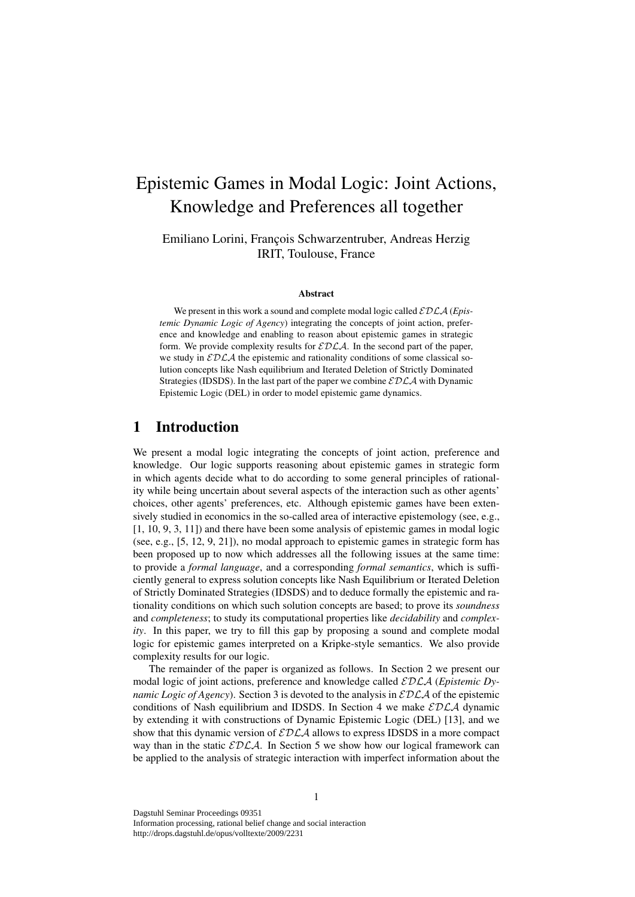# Epistemic Games in Modal Logic: Joint Actions, Knowledge and Preferences all together

Emiliano Lorini, François Schwarzentruber, Andreas Herzig IRIT, Toulouse, France

#### Abstract

We present in this work a sound and complete modal logic called  $\mathcal{EDLA}$  (*Epistemic Dynamic Logic of Agency*) integrating the concepts of joint action, preference and knowledge and enabling to reason about epistemic games in strategic form. We provide complexity results for  $\mathcal{EDLA}$ . In the second part of the paper, we study in  $EDLA$  the epistemic and rationality conditions of some classical solution concepts like Nash equilibrium and Iterated Deletion of Strictly Dominated Strategies (IDSDS). In the last part of the paper we combine  $\mathcal{EDLA}$  with Dynamic Epistemic Logic (DEL) in order to model epistemic game dynamics.

# 1 Introduction

We present a modal logic integrating the concepts of joint action, preference and knowledge. Our logic supports reasoning about epistemic games in strategic form in which agents decide what to do according to some general principles of rationality while being uncertain about several aspects of the interaction such as other agents' choices, other agents' preferences, etc. Although epistemic games have been extensively studied in economics in the so-called area of interactive epistemology (see, e.g., [1, 10, 9, 3, 11]) and there have been some analysis of epistemic games in modal logic (see, e.g., [5, 12, 9, 21]), no modal approach to epistemic games in strategic form has been proposed up to now which addresses all the following issues at the same time: to provide a *formal language*, and a corresponding *formal semantics*, which is sufficiently general to express solution concepts like Nash Equilibrium or Iterated Deletion of Strictly Dominated Strategies (IDSDS) and to deduce formally the epistemic and rationality conditions on which such solution concepts are based; to prove its *soundness* and *completeness*; to study its computational properties like *decidability* and *complexity*. In this paper, we try to fill this gap by proposing a sound and complete modal logic for epistemic games interpreted on a Kripke-style semantics. We also provide complexity results for our logic.

The remainder of the paper is organized as follows. In Section 2 we present our modal logic of joint actions, preference and knowledge called EDLA (*Epistemic Dynamic Logic of Agency*). Section 3 is devoted to the analysis in  $\mathcal{EDLA}$  of the epistemic conditions of Nash equilibrium and IDSDS. In Section 4 we make  $\mathcal{EDLA}$  dynamic by extending it with constructions of Dynamic Epistemic Logic (DEL) [13], and we show that this dynamic version of  $\mathcal{EDLA}$  allows to express IDSDS in a more compact way than in the static  $EDLA$ . In Section 5 we show how our logical framework can be applied to the analysis of strategic interaction with imperfect information about the

Dagstuhl Seminar Proceedings 09351 Information processing, rational belief change and social interaction

http://drops.dagstuhl.de/opus/volltexte/2009/2231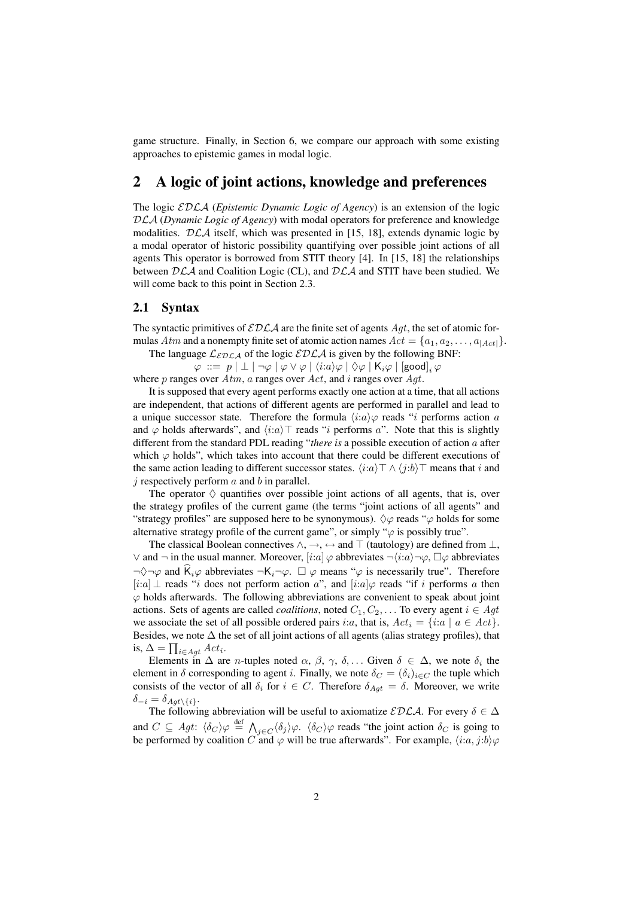game structure. Finally, in Section 6, we compare our approach with some existing approaches to epistemic games in modal logic.

# 2 A logic of joint actions, knowledge and preferences

The logic EDLA (*Epistemic Dynamic Logic of Agency*) is an extension of the logic DLA (*Dynamic Logic of Agency*) with modal operators for preference and knowledge modalities.  $DLA$  itself, which was presented in [15, 18], extends dynamic logic by a modal operator of historic possibility quantifying over possible joint actions of all agents This operator is borrowed from STIT theory [4]. In [15, 18] the relationships between  $DLA$  and Coalition Logic (CL), and  $DLA$  and STIT have been studied. We will come back to this point in Section 2.3.

### 2.1 Syntax

The syntactic primitives of  $\mathcal{EDLA}$  are the finite set of agents  $Agt$ , the set of atomic formulas Atm and a nonempty finite set of atomic action names  $Act = \{a_1, a_2, \ldots, a_{|Act|}\}.$ 

The language  $\mathcal{L}_{\mathcal{EDLA}}$  of the logic  $\mathcal{EDLA}$  is given by the following BNF:

 $\varphi \;::=\; p \;|\; \bot \;|\; \neg \varphi \;|\; \varphi \vee \varphi \;|\; \langle i{:}a\rangle \varphi \;|\; \Diamond \varphi \;|\; {\sf K}_i\varphi \;|\; {\small [good]}_i\, \varphi$ where p ranges over  $Atm$ , a ranges over  $Act$ , and i ranges over  $Agt$ .

It is supposed that every agent performs exactly one action at a time, that all actions are independent, that actions of different agents are performed in parallel and lead to a unique successor state. Therefore the formula  $\langle i:a \rangle \varphi$  reads "i performs action a and  $\varphi$  holds afterwards", and  $\langle i:a\rangle$  reads "i performs a". Note that this is slightly different from the standard PDL reading "*there is* a possible execution of action a after which  $\varphi$  holds", which takes into account that there could be different executions of the same action leading to different successor states.  $\langle i:a \rangle \top \wedge \langle j:b \rangle \top$  means that i and  $\dot{\gamma}$  respectively perform  $\alpha$  and  $\dot{\delta}$  in parallel.

The operator  $\Diamond$  quantifies over possible joint actions of all agents, that is, over the strategy profiles of the current game (the terms "joint actions of all agents" and "strategy profiles" are supposed here to be synonymous).  $\Diamond \varphi$  reads " $\varphi$  holds for some alternative strategy profile of the current game", or simply " $\varphi$  is possibly true".

The classical Boolean connectives  $\land$ ,  $\rightarrow$ ,  $\leftrightarrow$  and  $\top$  (tautology) are defined from  $\bot$ , ∨ and  $\neg$  in the usual manner. Moreover, [i:a]  $\varphi$  abbreviates  $\neg \langle i:a \rangle \neg \varphi$ ,  $\Box \varphi$  abbreviates  $\neg \Diamond \neg \varphi$  and  $\hat{K}_i\varphi$  abbreviates  $\neg K_i\neg \varphi$ .  $\Box \varphi$  means " $\varphi$  is necessarily true". Therefore [i:a]  $\perp$  reads "i does not perform action a", and [i:a] $\varphi$  reads "if i performs a then  $\varphi$  holds afterwards. The following abbreviations are convenient to speak about joint actions. Sets of agents are called *coalitions*, noted  $C_1, C_2, \ldots$  To every agent  $i \in Agt$ we associate the set of all possible ordered pairs i:a, that is,  $Act_i = \{i:a \mid a \in Act\}$ . Besides, we note  $\Delta$  the set of all joint actions of all agents (alias strategy profiles), that is,  $\Delta = \prod_{i \in Agt} Act_i$ .

Elements in  $\Delta$  are *n*-tuples noted  $\alpha$ ,  $\beta$ ,  $\gamma$ ,  $\delta$ ,... Given  $\delta \in \Delta$ , we note  $\delta_i$  the element in  $\delta$  corresponding to agent i. Finally, we note  $\delta_C = (\delta_i)_{i \in C}$  the tuple which consists of the vector of all  $\delta_i$  for  $i \in C$ . Therefore  $\delta_{Aat} = \delta$ . Moreover, we write  $\delta_{-i} = \delta_{Agt \setminus \{i\}}.$ 

The following abbreviation will be useful to axiomatize  $\mathcal{EDLA}$ . For every  $\delta \in \Delta$ and  $C \subseteq Agt$ :  $\langle \delta_C \rangle \varphi \stackrel{\text{def}}{=} \bigwedge_{j \in C} \langle \delta_j \rangle \varphi$ .  $\langle \delta_C \rangle \varphi$  reads "the joint action  $\delta_C$  is going to be performed by coalition C and  $\varphi$  will be true afterwards". For example,  $\langle i:a, j:b\rangle \varphi$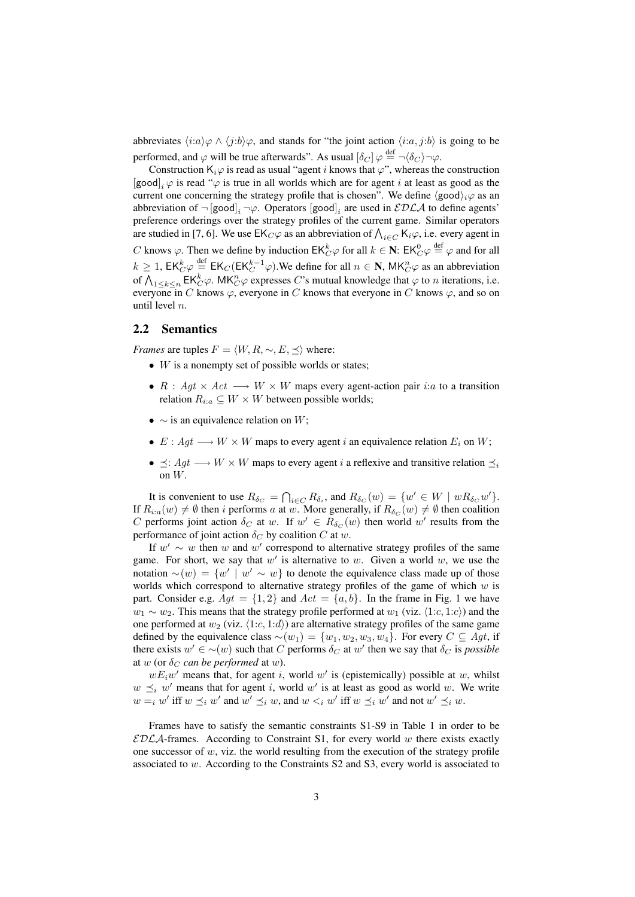abbreviates  $\langle i:a\rangle\varphi \wedge \langle j:b\rangle\varphi$ , and stands for "the joint action  $\langle i:a, j:b\rangle$  is going to be performed, and  $\varphi$  will be true afterwards". As usual  $[\delta_C] \varphi \stackrel{\text{def}}{=} \neg \langle \delta_C \rangle \neg \varphi$ .

Construction  $K_i\varphi$  is read as usual "agent i knows that  $\varphi$ ", whereas the construction [good]<sub>i</sub>  $\varphi$  is read " $\varphi$  is true in all worlds which are for agent *i* at least as good as the current one concerning the strategy profile that is chosen". We define  $\langle \text{good} \rangle_i \varphi$  as an abbreviation of  $\neg$  [good]<sub>*i*</sub>  $\neg \varphi$ . Operators [good]<sub>*i*</sub> are used in  $\mathcal{EDLA}$  to define agents' preference orderings over the strategy profiles of the current game. Similar operators are studied in [7, 6]. We use  $EK_C\varphi$  as an abbreviation of  $\bigwedge_{i\in C} K_i\varphi$ , i.e. every agent in C knows  $\varphi$ . Then we define by induction  $EK_C^k \varphi$  for all  $k \in \mathbb{N}$ :  $EK_C^0 \varphi \stackrel{\text{def}}{=} \varphi$  and for all  $k \ge 1$ ,  $EK_C^k \varphi \stackrel{\text{def}}{=} E K_C (EK_C^{k-1} \varphi)$ . We define for all  $n \in \mathbb{N}$ ,  $MK_C^n \varphi$  as an abbreviation of  $\bigwedge_{1\leq k\leq n} \mathsf{EK}_{C}^k \varphi$ . MK $_{C}^n \varphi$  expresses C's mutual knowledge that  $\varphi$  to n iterations, i.e. everyone in C knows  $\varphi$ , everyone in C knows that everyone in C knows  $\varphi$ , and so on until level n.

### 2.2 Semantics

*Frames* are tuples  $F = \langle W, R, \sim, E, \prec \rangle$  where:

- $\bullet$  *W* is a nonempty set of possible worlds or states;
- $R : Agt \times Act \longrightarrow W \times W$  maps every agent-action pair i:a to a transition relation  $R_{i:a} \subseteq W \times W$  between possible worlds;
- $\sim$  is an equivalence relation on W;
- $E: Agt \longrightarrow W \times W$  maps to every agent i an equivalence relation  $E_i$  on W;
- $\preceq$ :  $Agt \rightarrow W \times W$  maps to every agent *i* a reflexive and transitive relation  $\preceq$ on W.

It is convenient to use  $R_{\delta_C} = \bigcap_{i \in C} R_{\delta_i}$ , and  $R_{\delta_C}(w) = \{w' \in W \mid wR_{\delta_C}w'\}.$ If  $R_{i:a}(w) \neq \emptyset$  then i performs a at w. More generally, if  $R_{\delta_C}(w) \neq \emptyset$  then coalition C performs joint action  $\delta_C$  at w. If  $w' \in R_{\delta_C}(w)$  then world w' results from the performance of joint action  $\delta_C$  by coalition C at w.

If  $w' \sim w$  then w and w' correspond to alternative strategy profiles of the same game. For short, we say that  $w'$  is alternative to w. Given a world w, we use the notation  $\sim(w) = \{w' \mid w' \sim w\}$  to denote the equivalence class made up of those worlds which correspond to alternative strategy profiles of the game of which  $w$  is part. Consider e.g.  $Agt = \{1, 2\}$  and  $Act = \{a, b\}$ . In the frame in Fig. 1 we have  $w_1 \sim w_2$ . This means that the strategy profile performed at  $w_1$  (viz.  $\langle 1:c, 1:c \rangle$ ) and the one performed at  $w_2$  (viz.  $\langle 1:c, 1:d \rangle$ ) are alternative strategy profiles of the same game defined by the equivalence class  $\sim(w_1) = \{w_1, w_2, w_3, w_4\}$ . For every  $C \subseteq Agt$ , if there exists  $w' \in \sim(w)$  such that C performs  $\delta_C$  at w' then we say that  $\delta_C$  is *possible* at w (or  $\delta_C$  *can be performed* at w).

 $wE_iw'$  means that, for agent i, world w' is (epistemically) possible at w, whilst  $w \preceq_i w'$  means that for agent i, world w' is at least as good as world w. We write  $w =_i w'$  iff  $w \preceq_i w'$  and  $w' \preceq_i w$ , and  $w <_i w'$  iff  $w \preceq_i w'$  and not  $w' \preceq_i w$ .

Frames have to satisfy the semantic constraints S1-S9 in Table 1 in order to be  $EDLA$ -frames. According to Constraint S1, for every world w there exists exactly one successor of  $w$ , viz. the world resulting from the execution of the strategy profile associated to w. According to the Constraints S2 and S3, every world is associated to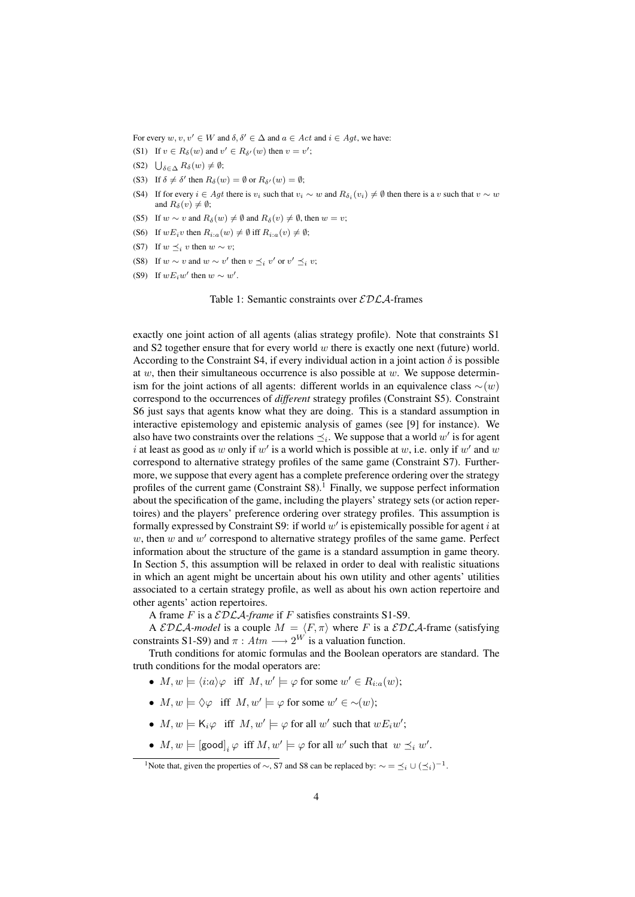For every  $w, v, v' \in W$  and  $\delta, \delta' \in \Delta$  and  $a \in Act$  and  $i \in Act$ , we have:

- (S1) If  $v \in R_\delta(w)$  and  $v' \in R_{\delta'}(w)$  then  $v = v'$ ;
- (S2)  $\bigcup_{\delta \in \Delta} R_{\delta}(w) \neq \emptyset;$
- (S3) If  $\delta \neq \delta'$  then  $R_{\delta}(w) = \emptyset$  or  $R_{\delta'}(w) = \emptyset$ ;
- (S4) If for every  $i \in Agt$  there is  $v_i$  such that  $v_i \sim w$  and  $R_{\delta_i}(v_i) \neq \emptyset$  then there is a v such that  $v \sim w$ and  $R_\delta(v) \neq \emptyset;$
- (S5) If  $w \sim v$  and  $R_{\delta}(w) \neq \emptyset$  and  $R_{\delta}(v) \neq \emptyset$ , then  $w = v$ ;
- (S6) If  $wE_i v$  then  $R_{i:a}(w) \neq \emptyset$  iff  $R_{i:a}(v) \neq \emptyset$ ;
- (S7) If  $w \preceq_i v$  then  $w \sim v$ ;
- (S8) If  $w \sim v$  and  $w \sim v'$  then  $v \preceq_i v'$  or  $v' \preceq_i v$ ;
- (S9) If  $wE_i w'$  then  $w \sim w'$ .

Table 1: Semantic constraints over  $\mathcal{EDLA}$ -frames

exactly one joint action of all agents (alias strategy profile). Note that constraints S1 and S2 together ensure that for every world  $w$  there is exactly one next (future) world. According to the Constraint S4, if every individual action in a joint action  $\delta$  is possible at w, then their simultaneous occurrence is also possible at  $w$ . We suppose determinism for the joint actions of all agents: different worlds in an equivalence class  $\sim(w)$ correspond to the occurrences of *different* strategy profiles (Constraint S5). Constraint S6 just says that agents know what they are doing. This is a standard assumption in interactive epistemology and epistemic analysis of games (see [9] for instance). We also have two constraints over the relations  $\preceq_i$ . We suppose that a world  $w'$  is for agent i at least as good as w only if w' is a world which is possible at w, i.e. only if w' and w correspond to alternative strategy profiles of the same game (Constraint S7). Furthermore, we suppose that every agent has a complete preference ordering over the strategy profiles of the current game (Constraint  $S8$ ).<sup>1</sup> Finally, we suppose perfect information about the specification of the game, including the players' strategy sets (or action repertoires) and the players' preference ordering over strategy profiles. This assumption is formally expressed by Constraint S9: if world  $w'$  is epistemically possible for agent i at  $w$ , then  $w$  and  $w'$  correspond to alternative strategy profiles of the same game. Perfect information about the structure of the game is a standard assumption in game theory. In Section 5, this assumption will be relaxed in order to deal with realistic situations in which an agent might be uncertain about his own utility and other agents' utilities associated to a certain strategy profile, as well as about his own action repertoire and other agents' action repertoires.

A frame F is a  $\mathcal{EDLA}$ -frame if F satisfies constraints S1-S9.

A EDLA-model is a couple  $M = \langle F, \pi \rangle$  where F is a EDLA-frame (satisfying constraints S1-S9) and  $\pi : Atm \longrightarrow 2^W$  is a valuation function.

Truth conditions for atomic formulas and the Boolean operators are standard. The truth conditions for the modal operators are:

- $M, w \models \langle i:a \rangle \varphi$  iff  $M, w' \models \varphi$  for some  $w' \in R_{i:a}(w)$ ;
- $M, w \models \Diamond \varphi$  iff  $M, w' \models \varphi$  for some  $w' \in \sim(w);$
- $M, w \models K_i \varphi$  iff  $M, w' \models \varphi$  for all w' such that  $wE_iw'$ ;
- $M, w \models [\text{good}]_i \varphi \text{ iff } M, w' \models \varphi \text{ for all } w' \text{ such that } w \preceq_i w'.$

<sup>&</sup>lt;sup>1</sup>Note that, given the properties of  $\sim$ , S7 and S8 can be replaced by:  $\sim = \leq_i \cup (\leq_i)^{-1}$ .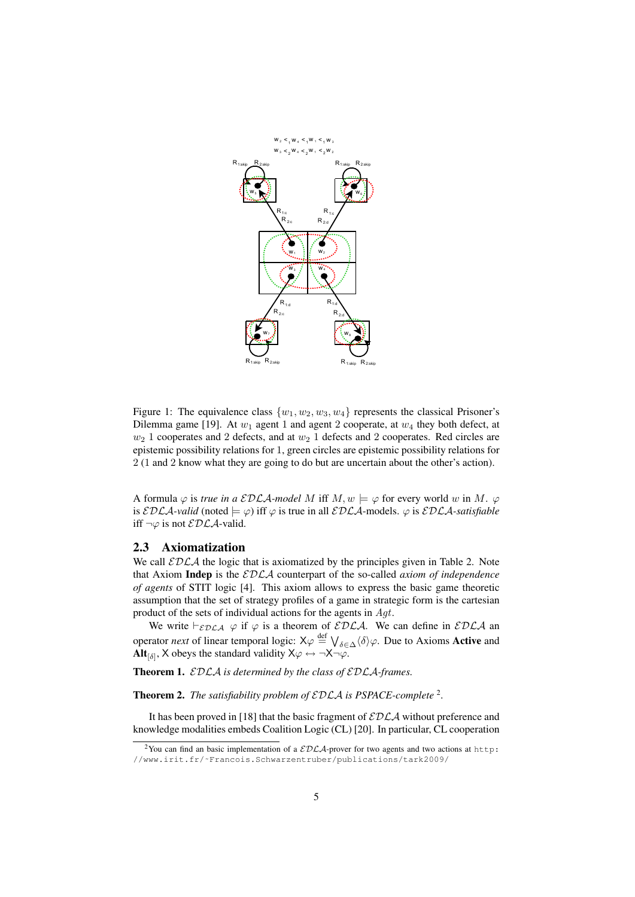

Figure 1: The equivalence class  $\{w_1, w_2, w_3, w_4\}$  represents the classical Prisoner's Dilemma game [19]. At  $w_1$  agent 1 and agent 2 cooperate, at  $w_4$  they both defect, at  $w_2$  1 cooperates and 2 defects, and at  $w_2$  1 defects and 2 cooperates. Red circles are epistemic possibility relations for 1, green circles are epistemic possibility relations for 2 (1 and 2 know what they are going to do but are uncertain about the other's action).

A formula  $\varphi$  is *true in a EDLA-model M* iff  $M, w \models \varphi$  for every world w in M.  $\varphi$ is  $\mathcal{EDLA}\text{-}valid$  (noted  $\models \varphi$ ) iff  $\varphi$  is true in all  $\mathcal{EDLA}\text{-models}$ .  $\varphi$  is  $\mathcal{EDLA}\text{-}satisfiable$ iff  $\neg \varphi$  is not  $\mathcal{EDLA}$ -valid.

#### 2.3 Axiomatization

We call  $\mathcal{EDLA}$  the logic that is axiomatized by the principles given in Table 2. Note that Axiom Indep is the EDLA counterpart of the so-called *axiom of independence of agents* of STIT logic [4]. This axiom allows to express the basic game theoretic assumption that the set of strategy profiles of a game in strategic form is the cartesian product of the sets of individual actions for the agents in Agt.

We write  $\vdash_{\mathcal{EDLA}} \varphi$  if  $\varphi$  is a theorem of  $\mathcal{EDLA}$ . We can define in  $\mathcal{EDLA}$  an operator *next* of linear temporal logic:  $X\varphi \stackrel{\text{def}}{=} \bigvee_{\delta \in \Delta} \langle \delta \rangle \varphi$ . Due to Axioms **Active** and **Alt**<sub>[ $\delta$ ]</sub>, X obeys the standard validity  $X\varphi \leftrightarrow \neg X\neg \varphi$ .

Theorem 1. EDLA *is determined by the class of* EDLA*-frames.*

**Theorem 2.** The satisfiability problem of  $\mathcal{EDLA}$  is PSPACE-complete<sup>2</sup>.

It has been proved in [18] that the basic fragment of  $\mathcal{EDLA}$  without preference and knowledge modalities embeds Coalition Logic (CL) [20]. In particular, CL cooperation

<sup>&</sup>lt;sup>2</sup>You can find an basic implementation of a  $\mathcal{EDLA}$ -prover for two agents and two actions at http: //www.irit.fr/˜Francois.Schwarzentruber/publications/tark2009/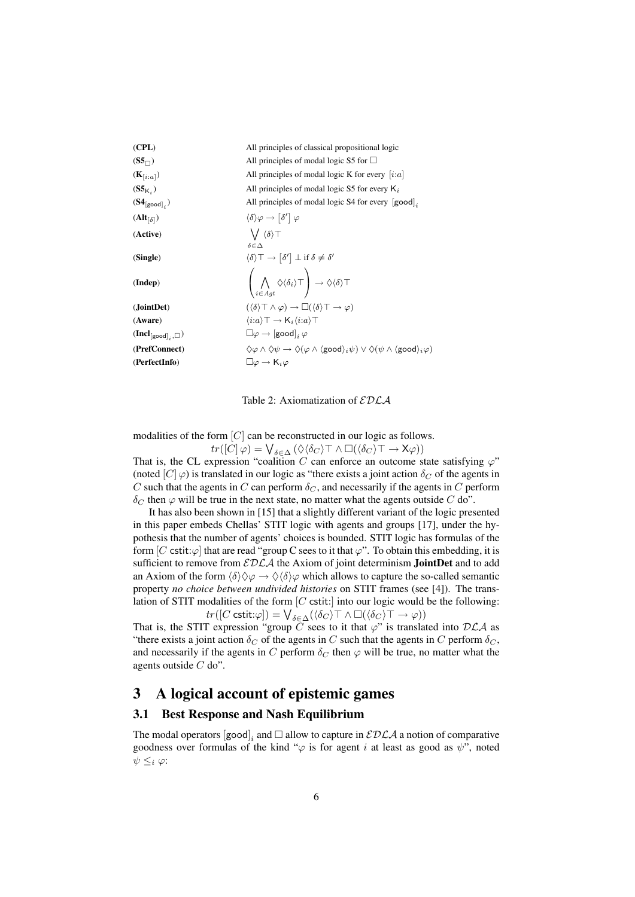| (CPL)                          | All principles of classical propositional logic                                                                                                                         |
|--------------------------------|-------------------------------------------------------------------------------------------------------------------------------------------------------------------------|
| $(S5_{\square})$               | All principles of modal logic S5 for $\Box$                                                                                                                             |
| $(K_{[i:a]})$                  | All principles of modal logic K for every $[i:a]$                                                                                                                       |
| $(S5_{K})$                     | All principles of modal logic S5 for every $K_i$                                                                                                                        |
| $(S4_{[good]_i})$              | All principles of modal logic S4 for every $ good _i$                                                                                                                   |
| $(Alt_{\lceil \delta \rceil})$ | $\langle \delta \rangle \varphi \rightarrow  \delta'  \varphi$                                                                                                          |
| (Active)                       | $\bigvee \langle \delta \rangle$ T<br>$\delta \in \Delta$                                                                                                               |
| (Single)                       | $\langle \delta \rangle \top \rightarrow \lceil \delta' \rceil \perp \text{if } \delta \neq \delta'$                                                                    |
| (Indep)                        | $\left(\bigwedge_{i\in Act}\Diamond\langle\delta_i\rangle\top\right)\to\Diamond\langle\delta\rangle\top$                                                                |
| (JointDet)                     | $(\langle \delta \rangle \top \wedge \varphi) \rightarrow \Box (\langle \delta \rangle \top \rightarrow \varphi)$                                                       |
| (Aware)                        | $\langle i:a \rangle \top \rightarrow \mathsf{K}_i \langle i:a \rangle \top$                                                                                            |
| $(Ind_{[good]_i}, \Box)$       | $\square \varphi \rightarrow [\text{good}]_i \varphi$                                                                                                                   |
| (PrefConnect)                  | $\Diamond \varphi \land \Diamond \psi \to \Diamond (\varphi \land \langle \text{good} \rangle_i \psi) \lor \Diamond (\psi \land \langle \text{good} \rangle_i \varphi)$ |
| (PerfectInfo)                  | $\Box \varphi \rightarrow \mathsf{K}_i \varphi$                                                                                                                         |
|                                |                                                                                                                                                                         |

Table 2: Axiomatization of  $\mathcal{EDLA}$ 

modalities of the form [C] can be reconstructed in our logic as follows.  $tr([C] \varphi) = \bigvee_{\delta \in \Delta} (\Diamond \langle \delta_C \rangle \top \wedge \Box (\langle \delta_C \rangle \top \rightarrow \mathsf{X} \varphi))$ 

That is, the CL expression "coalition C can enforce an outcome state satisfying  $\varphi$ " (noted  $[C]\varphi$ ) is translated in our logic as "there exists a joint action  $\delta_C$  of the agents in C such that the agents in C can perform  $\delta_C$ , and necessarily if the agents in C perform  $\delta_C$  then  $\varphi$  will be true in the next state, no matter what the agents outside C do".

It has also been shown in [15] that a slightly different variant of the logic presented in this paper embeds Chellas' STIT logic with agents and groups [17], under the hypothesis that the number of agents' choices is bounded. STIT logic has formulas of the form [C cstit: $\varphi$ ] that are read "group C sees to it that  $\varphi$ ". To obtain this embedding, it is sufficient to remove from  $EDLA$  the Axiom of joint determinism **JointDet** and to add an Axiom of the form  $\langle \delta \rangle \Diamond \varphi \rightarrow \Diamond \langle \delta \rangle \varphi$  which allows to capture the so-called semantic property *no choice between undivided histories* on STIT frames (see [4]). The translation of STIT modalities of the form  $[C$  cstit: into our logic would be the following:  $tr([C \text{ cstit} : \varphi]) = \bigvee_{\delta \in \Delta} (\langle \delta_C \rangle \top \wedge \Box(\langle \delta_C \rangle \top \rightarrow \varphi))$ 

That is, the STIT expression "group C sees to it that  $\varphi$ " is translated into DLA as "there exists a joint action  $\delta_C$  of the agents in C such that the agents in C perform  $\delta_C$ , and necessarily if the agents in C perform  $\delta_C$  then  $\varphi$  will be true, no matter what the agents outside  $C$  do".

# 3 A logical account of epistemic games

### 3.1 Best Response and Nash Equilibrium

The modal operators  $[\text{good}]_i$  and  $\square$  allow to capture in  $\mathcal{EDLA}$  a notion of comparative goodness over formulas of the kind " $\varphi$  is for agent i at least as good as  $\psi$ ", noted  $\psi \leq_i \varphi$ :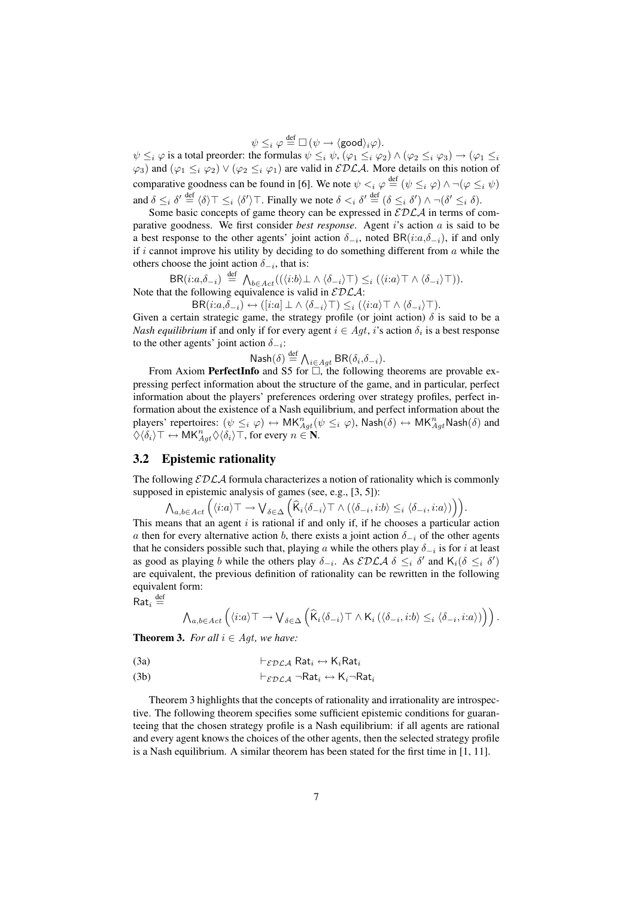$\psi \leq_i \varphi \stackrel{\mathsf{def}}{=} \Box \, (\psi \rightarrow \langle \mathsf{good} \rangle_i \varphi).$ 

 $\psi \leq_i \varphi$  is a total preorder: the formulas  $\psi \leq_i \psi$ ,  $(\varphi_1 \leq_i \varphi_2) \wedge (\varphi_2 \leq_i \varphi_3) \rightarrow (\varphi_1 \leq_i \varphi_1)$  $\varphi_3$ ) and  $(\varphi_1 \leq_i \varphi_2) \vee (\varphi_2 \leq_i \varphi_1)$  are valid in  $\mathcal{EDLA}$ . More details on this notion of comparative goodness can be found in [6]. We note  $\psi \leq_i \varphi \stackrel{\text{def}}{=} (\psi \leq_i \varphi) \wedge \neg(\varphi \leq_i \psi)$ and  $\delta \leq_i \delta' \stackrel{\text{def}}{=} \langle \delta \rangle \top \leq_i \langle \delta' \rangle \top$ . Finally we note  $\delta <_i \delta' \stackrel{\text{def}}{=} (\delta \leq_i \delta') \wedge \neg (\delta' \leq_i \delta)$ .

Some basic concepts of game theory can be expressed in  $\mathcal{EDLA}$  in terms of comparative goodness. We first consider *best response*. Agent i's action a is said to be a best response to the other agents' joint action  $\delta_{-i}$ , noted BR( $(i: a, \delta_{-i})$ , if and only if i cannot improve his utility by deciding to do something different from  $\alpha$  while the others choose the joint action  $\delta_{-i}$ , that is:

 $\mathsf{BR}(i:a,\delta_{-i}) \stackrel{\text{def}}{=} \bigwedge_{b\in Act} ((\langle i:b\rangle \bot \wedge \langle \delta_{-i} \rangle \top) \leq_i (\langle i:a\rangle \top \wedge \langle \delta_{-i} \rangle \top)).$ Note that the following equivalence is valid in  $EDLA$ :

 $\mathsf{BR}(i:a,\delta_{-i}) \leftrightarrow ([i:a] \perp \wedge \langle \delta_{-i} \rangle \top) \leq_i (\langle i:a \rangle \top \wedge \langle \delta_{-i} \rangle \top).$ 

Given a certain strategic game, the strategy profile (or joint action)  $\delta$  is said to be a *Nash equilibrium* if and only if for every agent  $i \in Agt$ , *i*'s action  $\delta_i$  is a best response to the other agents' joint action  $\delta_{-i}$ :

 $\mathsf{Nash}(\delta) \stackrel{\text{def}}{=} \bigwedge_{i \in Agt} \mathsf{BR}(\delta_i, \delta_{-i}).$ 

From Axiom PerfectInfo and S5 for  $\Box$ , the following theorems are provable expressing perfect information about the structure of the game, and in particular, perfect information about the players' preferences ordering over strategy profiles, perfect information about the existence of a Nash equilibrium, and perfect information about the players' repertoires:  $(\psi \leq_i \varphi) \leftrightarrow \mathsf{MK}_{Agt}^n(\psi \leq_i \varphi)$ , Nash $(\delta) \leftrightarrow \mathsf{MK}_{Agt}^n$ Nash $(\delta)$  and  $\langle \hat{\phi}_i \rangle \top \leftrightarrow \mathsf{MK}_{Agt}^n \langle \hat{\phi}_i \rangle \top$ , for every  $n \in \mathbf{N}$ .

### 3.2 Epistemic rationality

The following  $\mathcal{EDLA}$  formula characterizes a notion of rationality which is commonly supposed in epistemic analysis of games (see, e.g., [3, 5]):

$$
\bigwedge_{a,b\in Act} \Big(\langle i:a\rangle\top \to \bigvee_{\delta\in\Delta} \Big(\widehat{\mathsf{K}}_i\langle \delta_{-i}\rangle\top \wedge (\langle \delta_{-i},i:b\rangle \leq_i \langle \delta_{-i},i:a\rangle)\Big)\Big).
$$

This means that an agent  $i$  is rational if and only if, if he chooses a particular action a then for every alternative action b, there exists a joint action  $\delta_{-i}$  of the other agents that he considers possible such that, playing a while the others play  $\delta_{-i}$  is for i at least as good as playing b while the others play  $\delta_{-i}$ . As  $\mathcal{EDLA} \ \delta \leq_i \ \delta'$  and  $\mathsf{K}_i(\delta \leq_i \ \delta')$ are equivalent, the previous definition of rationality can be rewritten in the following equivalent form:

 $\mathsf{Rat}_i \stackrel{\text{def}}{=}$ 

$$
\bigwedge_{a,b\in Act} \left( \langle i:a\rangle \top \to \bigvee_{\delta\in\Delta} \left( \widehat{K}_i \langle \delta_{-i}\rangle \top \wedge K_i \left( \langle \delta_{-i},i:b\rangle \leq_i \langle \delta_{-i},i:a\rangle \right) \right) \right).
$$

**Theorem 3.** *For all*  $i \in Agt$ *, we have:* 

(3a) 
$$
\vdash_{\mathcal{EDLA}} \mathsf{Rat}_i \leftrightarrow \mathsf{K}_i \mathsf{Rat}_i
$$

(3b) 
$$
\vdash_{\mathcal{EDLA}} \neg \mathsf{Rat}_i \leftrightarrow \mathsf{K}_i \neg \mathsf{Rat}_i
$$

Theorem 3 highlights that the concepts of rationality and irrationality are introspective. The following theorem specifies some sufficient epistemic conditions for guaranteeing that the chosen strategy profile is a Nash equilibrium: if all agents are rational and every agent knows the choices of the other agents, then the selected strategy profile is a Nash equilibrium. A similar theorem has been stated for the first time in [1, 11].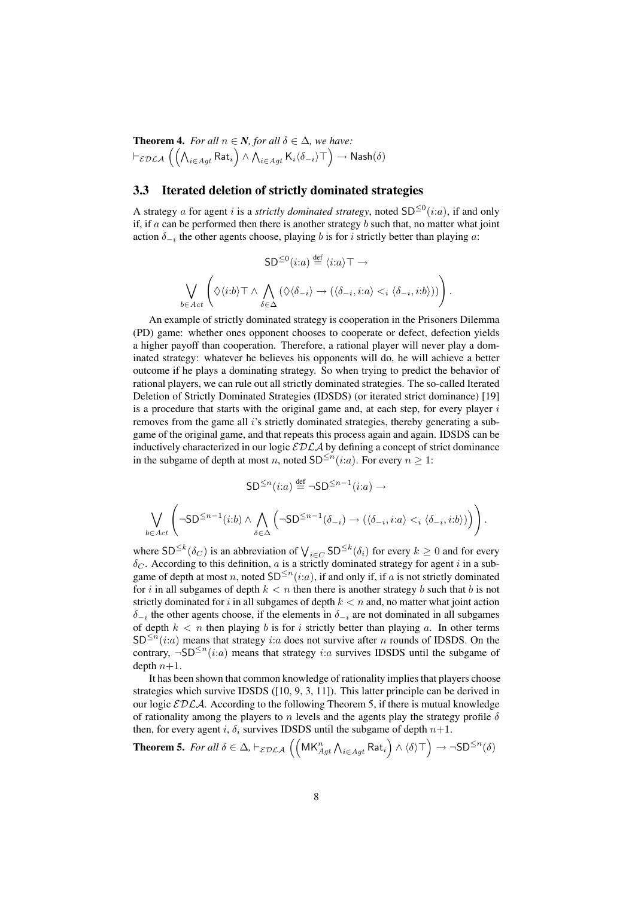**Theorem 4.** *For all*  $n \in \mathbb{N}$ *, for all*  $\delta \in \Delta$ *, we have:*  $\vdash_{\mathcal{EDLA}} \left(\left(\bigwedge_{i\in Agt} \mathsf{Rat}_i\right) \wedge \bigwedge_{i\in Agt} \mathsf{K}_i\langle\delta_{-i}\rangle\top\right) \to \mathsf{Nash}(\delta)$ 

## 3.3 Iterated deletion of strictly dominated strategies

A strategy a for agent i is a *strictly dominated strategy*, noted  $SD^{\leq 0}(i:a)$ , if and only if, if  $a$  can be performed then there is another strategy  $b$  such that, no matter what joint action  $\delta_{-i}$  the other agents choose, playing b is for i strictly better than playing a:

$$
\mathsf{SD}^{\leq 0}(i:a) \stackrel{\text{def}}{=} \langle i:a \rangle \top \rightarrow
$$

$$
\bigvee_{b \in Act} \left( \Diamond \langle i:b \rangle \top \land \bigwedge_{\delta \in \Delta} (\Diamond \langle \delta_{-i} \rangle \to (\langle \delta_{-i}, i:a \rangle \leq i \langle \delta_{-i}, i:b \rangle)) \right).
$$

An example of strictly dominated strategy is cooperation in the Prisoners Dilemma (PD) game: whether ones opponent chooses to cooperate or defect, defection yields a higher payoff than cooperation. Therefore, a rational player will never play a dominated strategy: whatever he believes his opponents will do, he will achieve a better outcome if he plays a dominating strategy. So when trying to predict the behavior of rational players, we can rule out all strictly dominated strategies. The so-called Iterated Deletion of Strictly Dominated Strategies (IDSDS) (or iterated strict dominance) [19] is a procedure that starts with the original game and, at each step, for every player  $i$ removes from the game all i's strictly dominated strategies, thereby generating a subgame of the original game, and that repeats this process again and again. IDSDS can be inductively characterized in our logic  $\mathcal{EDLA}$  by defining a concept of strict dominance in the subgame of depth at most n, noted  $SD^{\leq n}(i:a)$ . For every  $n \geq 1$ :

$$
\mathsf{SD}^{\leq n}(i:a) \stackrel{\text{def}}{=} \neg \mathsf{SD}^{\leq n-1}(i:a) \to
$$

$$
\bigvee_{b \in Act} \left( \neg \mathsf{SD}^{\leq n-1}(i:b) \land \bigwedge_{\delta \in \Delta} \left( \neg \mathsf{SD}^{\leq n-1}(\delta_{-i}) \to (\langle \delta_{-i}, i:a \rangle \leq_i \langle \delta_{-i}, i:b \rangle) \right) \right).
$$

where SD<sup>≤k</sup>( $\delta_C$ ) is an abbreviation of  $\bigvee_{i \in C}$  SD<sup>≤k</sup>( $\delta_i$ ) for every  $k \ge 0$  and for every  $\delta_C$ . According to this definition, a is a strictly dominated strategy for agent i in a subgame of depth at most n, noted  $SD^{\leq n}(i:a)$ , if and only if, if a is not strictly dominated for i in all subgames of depth  $k < n$  then there is another strategy b such that b is not strictly dominated for i in all subgames of depth  $k < n$  and, no matter what joint action  $\delta_{-i}$  the other agents choose, if the elements in  $\delta_{-i}$  are not dominated in all subgames of depth  $k < n$  then playing b is for i strictly better than playing a. In other terms  $SD^{\leq n}(i:a)$  means that strategy i:a does not survive after n rounds of IDSDS. On the contrary,  $\neg SD^{\leq n}(i:a)$  means that strategy i:a survives IDSDS until the subgame of depth  $n+1$ .

It has been shown that common knowledge of rationality implies that players choose strategies which survive IDSDS ([10, 9, 3, 11]). This latter principle can be derived in our logic  $EDLA$ . According to the following Theorem 5, if there is mutual knowledge of rationality among the players to n levels and the agents play the strategy profile  $\delta$ then, for every agent i,  $\delta_i$  survives IDSDS until the subgame of depth  $n+1$ .

**Theorem 5.** For all 
$$
\delta \in \Delta
$$
,  $\vdash_{\mathcal{EDLA}} (\left( \mathsf{MK}_{Agt}^n \wedge_{i \in Agt} \mathsf{Rat}_i \right) \wedge \langle \delta \rangle \top) \rightarrow \neg \mathsf{SD}^{\leq n}(\delta)$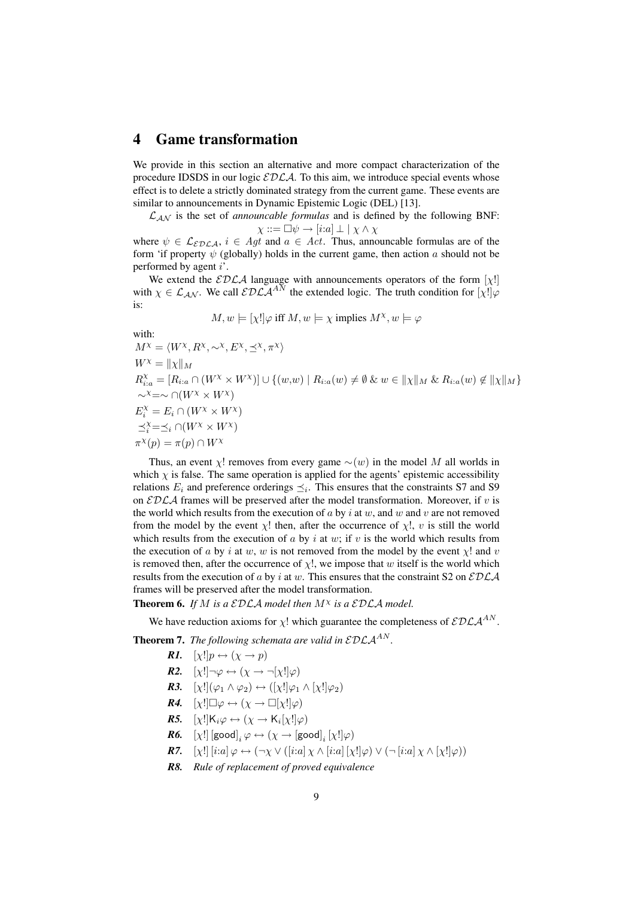# 4 Game transformation

We provide in this section an alternative and more compact characterization of the procedure IDSDS in our logic  $\mathcal{EDLA}$ . To this aim, we introduce special events whose effect is to delete a strictly dominated strategy from the current game. These events are similar to announcements in Dynamic Epistemic Logic (DEL) [13].

 $\mathcal{L}_{\mathcal{A}\mathcal{N}}$  is the set of *announcable formulas* and is defined by the following BNF:  $\chi ::= \Box \psi \rightarrow [i{:}a] \perp \mid \chi \wedge \chi$ 

where  $\psi \in \mathcal{L}_{EDCA}$ ,  $i \in \mathcal{A}qt$  and  $a \in \mathcal{A}ct$ . Thus, announcable formulas are of the form 'if property  $\psi$  (globally) holds in the current game, then action a should not be performed by agent i'.

We extend the  $EDLA$  language with announcements operators of the form  $[\chi!]$ with  $\chi \in \mathcal{L}_{AN}$ . We call  $\mathcal{EDLA}^{AN}$  the extended logic. The truth condition for  $[\chi] \varphi$ is:

$$
M, w \models [\chi!] \varphi
$$
 iff  $M, w \models \chi$  implies  $M^{\chi}, w \models \varphi$ 

with:  $M^{\chi} = \langle W^{\chi}, R^{\chi}, \sim^{\chi}, E^{\chi}, \preceq^{\chi}, \pi^{\chi} \rangle$  $W^{\chi} = ||\chi||_M$  $R_{i:a}^{\chi} = [R_{i:a} \cap (W^{\chi} \times W^{\chi})] \cup \{(w,w) \mid R_{i:a}(w) \neq \emptyset \& w \in ||\chi||_M \& R_{i:a}(w) \notin ||\chi||_M\}$  $\sim^{\chi}=\sim \cap(W^{\chi}\times W^{\chi})$  $E_i^{\chi} = E_i \cap (W^{\chi} \times W^{\chi})$  $\preceq_i^{\chi}=\preceq_i \cap (W^{\chi} \times W^{\chi})$  $\pi^{\chi}(p) = \pi(p) \cap W^{\chi}$ 

Thus, an event  $\chi$ ! removes from every game  $\sim(w)$  in the model M all worlds in which  $\chi$  is false. The same operation is applied for the agents' epistemic accessibility relations  $E_i$  and preference orderings  $\preceq_i$ . This ensures that the constraints S7 and S9 on  $\mathcal{EDLA}$  frames will be preserved after the model transformation. Moreover, if v is the world which results from the execution of a by i at w, and w and v are not removed from the model by the event  $\chi$ ! then, after the occurrence of  $\chi$ !, v is still the world which results from the execution of a by i at w; if v is the world which results from the execution of a by i at w, w is not removed from the model by the event  $\chi$ ! and v is removed then, after the occurrence of  $\chi$ !, we impose that w itself is the world which results from the execution of a by i at w. This ensures that the constraint S2 on  $\mathcal{EDLA}$ frames will be preserved after the model transformation.

**Theorem 6.** If M is a  $\mathcal{EDLA}$  model then  $M^{\chi}$  is a  $\mathcal{EDLA}$  model.

We have reduction axioms for  $\chi$ ! which guarantee the completeness of  $\mathcal{EDLA}^{AN}$ .

**Theorem 7.** *The following schemata are valid in*  $\mathcal{EDLA}^{AN}$ *.* 

- *R1.*  $[\chi!]p \leftrightarrow (\chi \rightarrow p)$
- *R2.*  $[\chi!] \neg \varphi \leftrightarrow (\chi \rightarrow \neg[\chi!] \varphi)$
- *R3.*  $[\chi] (\varphi_1 \wedge \varphi_2) \leftrightarrow ([\chi] \varphi_1 \wedge [\chi] \varphi_2)$
- *R4.*  $[\chi!] \Box \varphi \leftrightarrow (\chi \rightarrow \Box [\chi!] \varphi)$
- **R5.**  $[\chi!]$ **K**<sub>i</sub> $\varphi \leftrightarrow (\chi \rightarrow \mathsf{K}_i[\chi!] \varphi)$
- *R6.*  $[\chi!]$   $[\textsf{good}]_i \varphi \leftrightarrow (\chi \rightarrow [\textsf{good}]_i [\chi!] \varphi)$
- *R7.*  $[\chi!] [i:a] \varphi \leftrightarrow (\neg \chi \vee ([i:a] \chi \wedge [i:a] [\chi!] \varphi) \vee (\neg [i:a] \chi \wedge [\chi!] \varphi))$
- *R8. Rule of replacement of proved equivalence*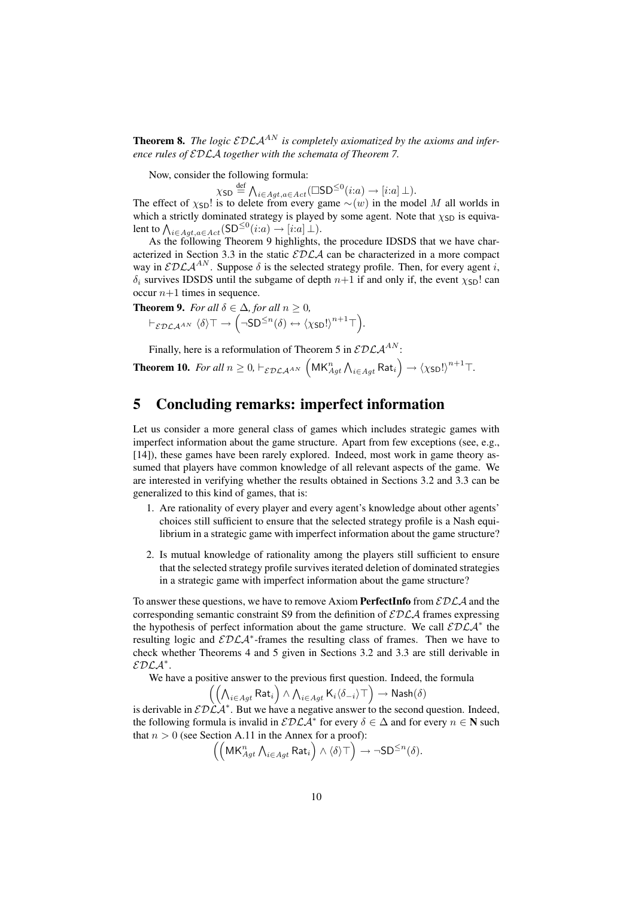**Theorem 8.** *The logic*  $\mathcal{EDLA}^{AN}$  *is completely axiomatized by the axioms and inference rules of* EDLA *together with the schemata of Theorem 7.*

Now, consider the following formula:

 $\chi$ sd  $\stackrel{\text{def}}{=} \bigwedge_{i \in Agt, a \in Act} (\Box \mathsf{SD}^{\leq 0}(i:a) \rightarrow [i:a] \bot).$ 

The effect of  $\chi_{SD}!$  is to delete from every game  $\sim(w)$  in the model M all worlds in which a strictly dominated strategy is played by some agent. Note that  $\chi_{SD}$  is equivalent to  $\bigwedge_{i \in Agt, a \in Act} (\mathsf{SD}^{\leq 0}(i:a) \to [i:a] \bot).$ 

As the following Theorem 9 highlights, the procedure IDSDS that we have characterized in Section 3.3 in the static  $\mathcal{EDLA}$  can be characterized in a more compact way in  $\mathcal{EDLA}^{AN}$ . Suppose  $\delta$  is the selected strategy profile. Then, for every agent i,  $\delta_i$  survives IDSDS until the subgame of depth  $n+1$  if and only if, the event  $\chi_{SD}!$  can occur  $n+1$  times in sequence.

*.*

**Theorem 9.** For all 
$$
\delta \in \Delta
$$
, for all  $n \ge 0$ ,  

$$
\vdash_{\mathcal{EDLA}^{AN}} \langle \delta \rangle \top \rightarrow (\neg SD^{\le n}(\delta) \leftrightarrow \langle \chi_{SD}! \rangle^{n+1} \top)
$$

Finally, here is a reformulation of Theorem 5 in  $\mathcal{EDLA}^{AN}$ :

**Theorem 10.** For all 
$$
n \ge 0
$$
,  $\vdash_{\mathcal{EDLA}^{AN}} (\mathsf{MK}_{Agt}^n \wedge_{i \in Agt} \mathsf{Rat}_i) \rightarrow \langle \chi_{\mathsf{SD}}! \rangle^{n+1} \top$ .

# 5 Concluding remarks: imperfect information

Let us consider a more general class of games which includes strategic games with imperfect information about the game structure. Apart from few exceptions (see, e.g., [14]), these games have been rarely explored. Indeed, most work in game theory assumed that players have common knowledge of all relevant aspects of the game. We are interested in verifying whether the results obtained in Sections 3.2 and 3.3 can be generalized to this kind of games, that is:

- 1. Are rationality of every player and every agent's knowledge about other agents' choices still sufficient to ensure that the selected strategy profile is a Nash equilibrium in a strategic game with imperfect information about the game structure?
- 2. Is mutual knowledge of rationality among the players still sufficient to ensure that the selected strategy profile survives iterated deletion of dominated strategies in a strategic game with imperfect information about the game structure?

To answer these questions, we have to remove Axiom **PerfectInfo** from  $\mathcal{EDLA}$  and the corresponding semantic constraint S9 from the definition of  $\mathcal{EDLA}$  frames expressing the hypothesis of perfect information about the game structure. We call  $\mathcal{EDLA}^*$  the resulting logic and  $EDLA^*$ -frames the resulting class of frames. Then we have to check whether Theorems 4 and 5 given in Sections 3.2 and 3.3 are still derivable in  $EDLA^*$ .

We have a positive answer to the previous first question. Indeed, the formula

$$
\left(\left(\bigwedge_{i\in Agt} \mathsf{Rat}_i\right) \land \bigwedge_{i\in Agt} \mathsf{K}_i\langle \delta_{-i} \rangle \top\right) \to \mathsf{Nash}(\delta)
$$

is derivable in  $\mathcal{EDLA}^*$ . But we have a negative answer to the second question. Indeed, the following formula is invalid in  $\mathcal{EDLA}^*$  for every  $\delta \in \Delta$  and for every  $n \in \mathbb{N}$  such that  $n > 0$  (see Section A.11 in the Annex for a proof):

$$
\left(\left(\mathsf{MK}^n_{Agt}\, \mathsf{\Lambda}_{i\in Agt}\, \mathsf{Rat}_i\right) \land \langle \delta \rangle \top\right) \to \neg \mathsf{SD}^{\leq n}(\delta).
$$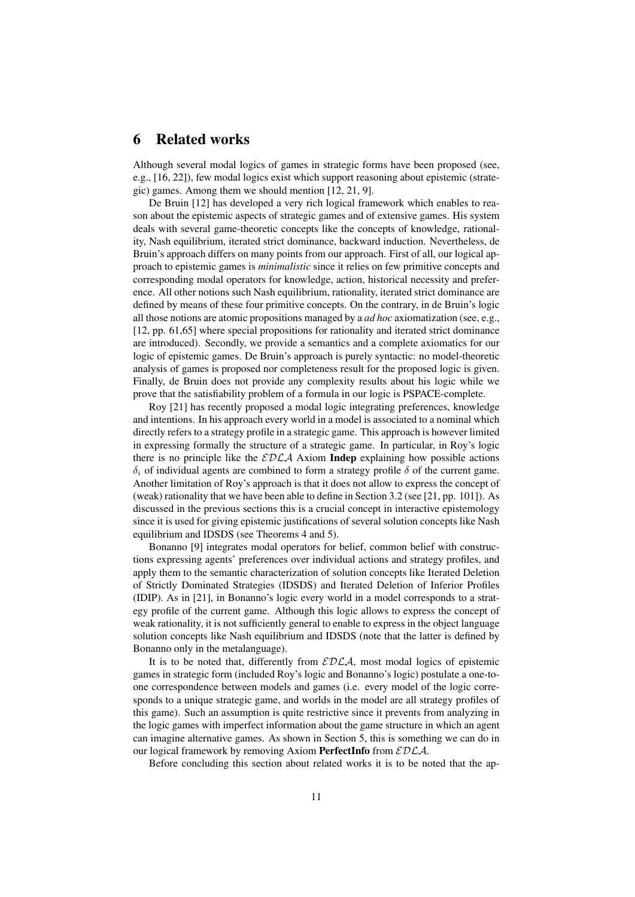# 6 Related works

Although several modal logics of games in strategic forms have been proposed (see, e.g., [16, 22]), few modal logics exist which support reasoning about epistemic (strategic) games. Among them we should mention [12, 21, 9].

De Bruin [12] has developed a very rich logical framework which enables to reason about the epistemic aspects of strategic games and of extensive games. His system deals with several game-theoretic concepts like the concepts of knowledge, rationality, Nash equilibrium, iterated strict dominance, backward induction. Nevertheless, de Bruin's approach differs on many points from our approach. First of all, our logical approach to epistemic games is *minimalistic* since it relies on few primitive concepts and corresponding modal operators for knowledge, action, historical necessity and preference. All other notions such Nash equilibrium, rationality, iterated strict dominance are defined by means of these four primitive concepts. On the contrary, in de Bruin's logic all those notions are atomic propositions managed by a *ad hoc* axiomatization (see, e.g., [12, pp. 61,65] where special propositions for rationality and iterated strict dominance are introduced). Secondly, we provide a semantics and a complete axiomatics for our logic of epistemic games. De Bruin's approach is purely syntactic: no model-theoretic analysis of games is proposed nor completeness result for the proposed logic is given. Finally, de Bruin does not provide any complexity results about his logic while we prove that the satisfiability problem of a formula in our logic is PSPACE-complete.

Roy [21] has recently proposed a modal logic integrating preferences, knowledge and intentions. In his approach every world in a model is associated to a nominal which directly refers to a strategy profile in a strategic game. This approach is however limited in expressing formally the structure of a strategic game. In particular, in Roy's logic there is no principle like the  $EDLA$  Axiom Indep explaining how possible actions  $\delta_i$  of individual agents are combined to form a strategy profile  $\delta$  of the current game. Another limitation of Roy's approach is that it does not allow to express the concept of (weak) rationality that we have been able to define in Section 3.2 (see [21, pp. 101]). As discussed in the previous sections this is a crucial concept in interactive epistemology since it is used for giving epistemic justifications of several solution concepts like Nash equilibrium and IDSDS (see Theorems 4 and 5).

Bonanno [9] integrates modal operators for belief, common belief with constructions expressing agents' preferences over individual actions and strategy profiles, and apply them to the semantic characterization of solution concepts like Iterated Deletion of Strictly Dominated Strategies (IDSDS) and Iterated Deletion of Inferior Profiles (IDIP). As in [21], in Bonanno's logic every world in a model corresponds to a strategy profile of the current game. Although this logic allows to express the concept of weak rationality, it is not sufficiently general to enable to express in the object language solution concepts like Nash equilibrium and IDSDS (note that the latter is defined by Bonanno only in the metalanguage).

It is to be noted that, differently from  $EDLA$ , most modal logics of epistemic games in strategic form (included Roy's logic and Bonanno's logic) postulate a one-toone correspondence between models and games (i.e. every model of the logic corresponds to a unique strategic game, and worlds in the model are all strategy profiles of this game). Such an assumption is quite restrictive since it prevents from analyzing in the logic games with imperfect information about the game structure in which an agent can imagine alternative games. As shown in Section 5, this is something we can do in our logical framework by removing Axiom PerfectInfo from  $EDLA$ .

Before concluding this section about related works it is to be noted that the ap-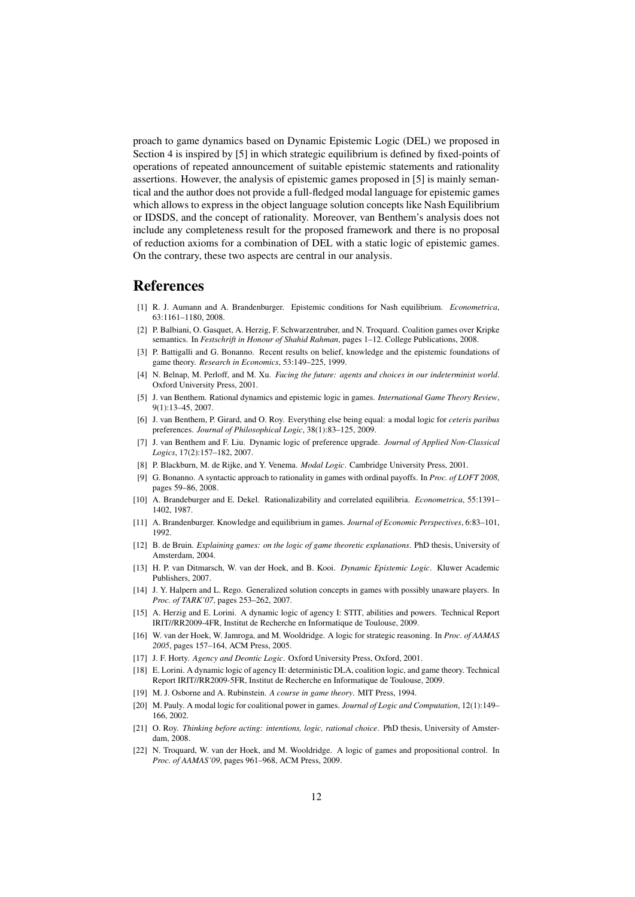proach to game dynamics based on Dynamic Epistemic Logic (DEL) we proposed in Section 4 is inspired by [5] in which strategic equilibrium is defined by fixed-points of operations of repeated announcement of suitable epistemic statements and rationality assertions. However, the analysis of epistemic games proposed in [5] is mainly semantical and the author does not provide a full-fledged modal language for epistemic games which allows to express in the object language solution concepts like Nash Equilibrium or IDSDS, and the concept of rationality. Moreover, van Benthem's analysis does not include any completeness result for the proposed framework and there is no proposal of reduction axioms for a combination of DEL with a static logic of epistemic games. On the contrary, these two aspects are central in our analysis.

## **References**

- [1] R. J. Aumann and A. Brandenburger. Epistemic conditions for Nash equilibrium. *Econometrica*, 63:1161–1180, 2008.
- [2] P. Balbiani, O. Gasquet, A. Herzig, F. Schwarzentruber, and N. Troquard. Coalition games over Kripke semantics. In *Festschrift in Honour of Shahid Rahman*, pages 1–12. College Publications, 2008.
- [3] P. Battigalli and G. Bonanno. Recent results on belief, knowledge and the epistemic foundations of game theory. *Research in Economics*, 53:149–225, 1999.
- [4] N. Belnap, M. Perloff, and M. Xu. *Facing the future: agents and choices in our indeterminist world*. Oxford University Press, 2001.
- [5] J. van Benthem. Rational dynamics and epistemic logic in games. *International Game Theory Review*, 9(1):13–45, 2007.
- [6] J. van Benthem, P. Girard, and O. Roy. Everything else being equal: a modal logic for *ceteris paribus* preferences. *Journal of Philosophical Logic*, 38(1):83–125, 2009.
- [7] J. van Benthem and F. Liu. Dynamic logic of preference upgrade. *Journal of Applied Non-Classical Logics*, 17(2):157–182, 2007.
- [8] P. Blackburn, M. de Rijke, and Y. Venema. *Modal Logic*. Cambridge University Press, 2001.
- [9] G. Bonanno. A syntactic approach to rationality in games with ordinal payoffs. In *Proc. of LOFT 2008*, pages 59–86, 2008.
- [10] A. Brandeburger and E. Dekel. Rationalizability and correlated equilibria. *Econometrica*, 55:1391– 1402, 1987.
- [11] A. Brandenburger. Knowledge and equilibrium in games. *Journal of Economic Perspectives*, 6:83–101, 1992.
- [12] B. de Bruin. *Explaining games: on the logic of game theoretic explanations*. PhD thesis, University of Amsterdam, 2004.
- [13] H. P. van Ditmarsch, W. van der Hoek, and B. Kooi. *Dynamic Epistemic Logic*. Kluwer Academic Publishers, 2007.
- [14] J. Y. Halpern and L. Rego. Generalized solution concepts in games with possibly unaware players. In *Proc. of TARK'07*, pages 253–262, 2007.
- [15] A. Herzig and E. Lorini. A dynamic logic of agency I: STIT, abilities and powers. Technical Report IRIT//RR2009-4FR, Institut de Recherche en Informatique de Toulouse, 2009.
- [16] W. van der Hoek, W. Jamroga, and M. Wooldridge. A logic for strategic reasoning. In *Proc. of AAMAS 2005*, pages 157–164, ACM Press, 2005.
- [17] J. F. Horty. *Agency and Deontic Logic*. Oxford University Press, Oxford, 2001.
- [18] E. Lorini. A dynamic logic of agency II: deterministic DLA, coalition logic, and game theory. Technical Report IRIT//RR2009-5FR, Institut de Recherche en Informatique de Toulouse, 2009.
- [19] M. J. Osborne and A. Rubinstein. *A course in game theory*. MIT Press, 1994.
- [20] M. Pauly. A modal logic for coalitional power in games. *Journal of Logic and Computation*, 12(1):149– 166, 2002.
- [21] O. Roy. *Thinking before acting: intentions, logic, rational choice*. PhD thesis, University of Amsterdam, 2008.
- [22] N. Troquard, W. van der Hoek, and M. Wooldridge. A logic of games and propositional control. In *Proc. of AAMAS'09*, pages 961–968, ACM Press, 2009.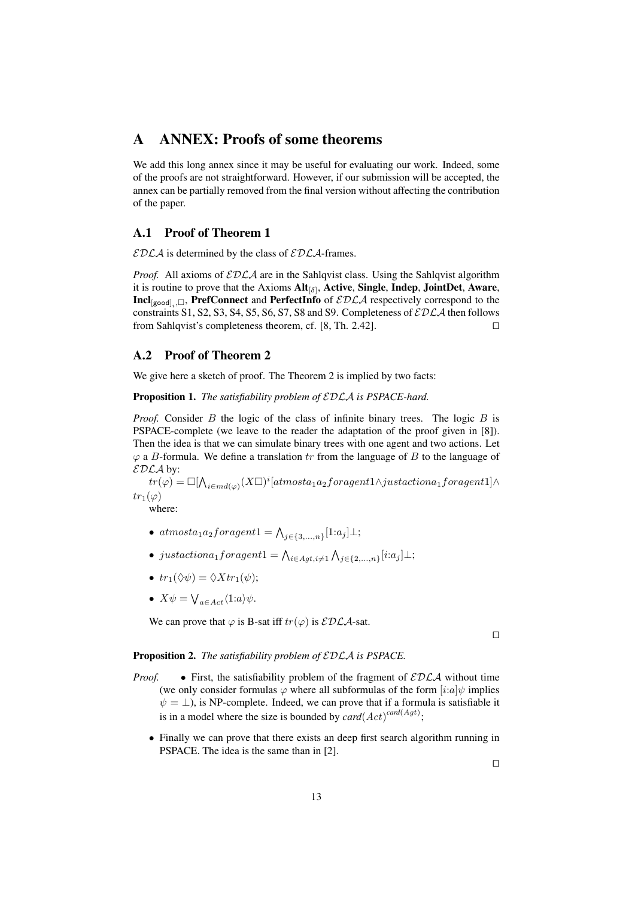# A ANNEX: Proofs of some theorems

We add this long annex since it may be useful for evaluating our work. Indeed, some of the proofs are not straightforward. However, if our submission will be accepted, the annex can be partially removed from the final version without affecting the contribution of the paper.

### A.1 Proof of Theorem 1

 $\mathcal{EDLA}$  is determined by the class of  $\mathcal{EDLA}$ -frames.

*Proof.* All axioms of  $\mathcal{EDLA}$  are in the Sahlqvist class. Using the Sahlqvist algorithm it is routine to prove that the Axioms  $Alt_{[\delta]}$ , Active, Single, Indep, JointDet, Aware,  $\text{Incl}_{[\text{good}]_i, \Box}$ , PrefConnect and PerfectInfo of  $\mathcal{EDLA}$  respectively correspond to the constraints S1, S2, S3, S4, S5, S6, S7, S8 and S9. Completeness of  $\mathcal{EDLA}$  then follows from Sahlqvist's completeness theorem, cf. [8, Th. 2.42].  $\Box$ 

### A.2 Proof of Theorem 2

We give here a sketch of proof. The Theorem 2 is implied by two facts:

Proposition 1. *The satisfiability problem of* EDLA *is PSPACE-hard.*

*Proof.* Consider B the logic of the class of infinite binary trees. The logic B is PSPACE-complete (we leave to the reader the adaptation of the proof given in [8]). Then the idea is that we can simulate binary trees with one agent and two actions. Let  $\varphi$  a B-formula. We define a translation tr from the language of B to the language of  $EDLA$  by:

 $tr(\varphi)=\Box[\bigwedge_{i\in md(\varphi)}(X\Box)^i[atmosta_1a_2for agent1\wedge just actiona_1for agent1]\wedge$  $tr_1(\varphi)$ 

where:

- $atmosta_1a_2for agent1 = \bigwedge_{j \in \{3,...,n\}} [1:a_j] \perp;$
- justactiona<sub>1</sub> foragent1 =  $\bigwedge_{i \in Agt, i \neq 1} \bigwedge_{j \in \{2,...,n\}} [i:a_j] \perp;$
- $tr_1(\Diamond \psi) = \Diamond X tr_1(\psi);$
- $X\psi = \bigvee_{a \in Act} \langle 1:a \rangle \psi.$

We can prove that  $\varphi$  is B-sat iff  $tr(\varphi)$  is  $\mathcal{EDLA}$ -sat.

 $\Box$ 

#### Proposition 2. *The satisfiability problem of* EDLA *is PSPACE.*

- *Proof.* First, the satisfiability problem of the fragment of  $\mathcal{EDLA}$  without time (we only consider formulas  $\varphi$  where all subformulas of the form  $[i:a]\psi$  implies  $\psi = \perp$ ), is NP-complete. Indeed, we can prove that if a formula is satisfiable it is in a model where the size is bounded by  $card(Act)^{card(Agt)}$ ;
	- Finally we can prove that there exists an deep first search algorithm running in PSPACE. The idea is the same than in [2].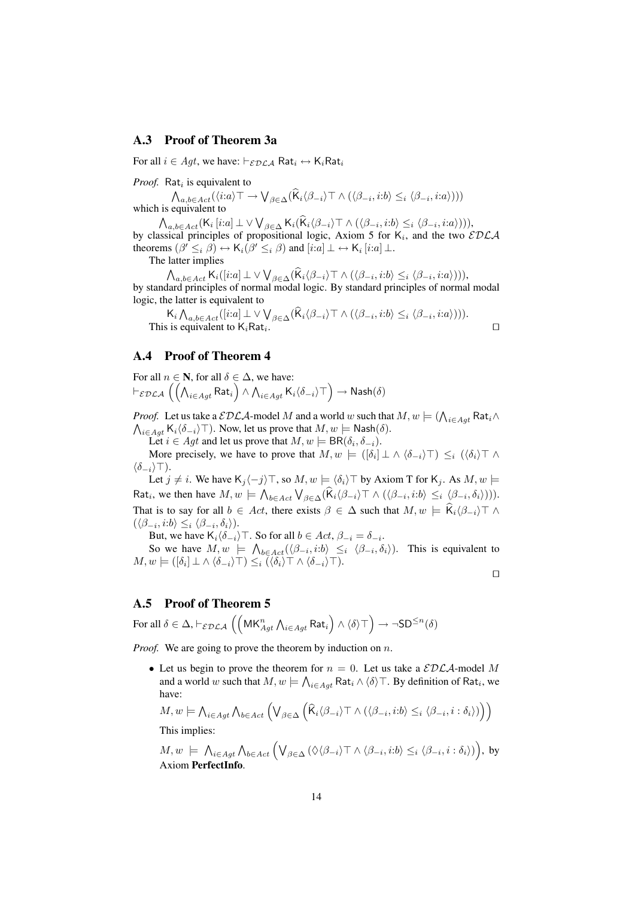### A.3 Proof of Theorem 3a

For all  $i \in Agt$ , we have:  $\vdash_{\mathcal{EDLA}}$  Rat $_i \leftrightarrow$  K<sub>i</sub>Rat<sub>i</sub>

*Proof.* Rat<sub>i</sub> is equivalent to

 $\bigwedge_{a,b\in Act}(\langle i:a\rangle\top\to\bigvee_{\beta\in\Delta}(\mathsf{K}_i\langle\beta_{-i}\rangle\top\wedge(\langle\beta_{-i},i:b\rangle\leq_i\langle\beta_{-i},i:a\rangle)))$ which is equivalent to

 $\bigwedge_{a,b\in Act} (\mathsf{K}_i\left[i.a\right]\perp \vee\bigvee_{\beta\in\Delta} \mathsf{K}_i(\mathsf{K}_i\langle\beta_{-i}\rangle\top\wedge(\langle\beta_{-i},i:b\rangle\leq_i\langle\beta_{-i},i:a\rangle))),$ by classical principles of propositional logic, Axiom 5 for  $K_i$ , and the two  $\mathcal{EDLA}$ theorems  $(\beta' \leq_i \beta) \leftrightarrow \mathsf{K}_i(\beta' \leq_i \beta)$  and  $[i:a] \perp \leftrightarrow \mathsf{K}_i[i:a] \perp$ .

The latter implies

 $\bigwedge_{a,b\in Act}\mathsf{K}_i([i:a]\perp\vee\bigvee_{\beta\in\Delta}(\mathsf{K}_i\langle\beta_{-i}\rangle\top\wedge(\langle\beta_{-i},i:b\rangle\leq_i\langle\beta_{-i},i:a\rangle))),$ by standard principles of normal modal logic. By standard principles of normal modal logic, the latter is equivalent to

 $\mathsf{K}_i \bigwedge_{a,b \in Act} ([i:a] \perp \vee \bigvee_{\beta \in \Delta} (\mathsf{K}_i \langle \beta_{-i} \rangle \top \wedge (\langle \beta_{-i}, i:b \rangle \leq_i \langle \beta_{-i}, i:a \rangle))).$ This is equivalent to  $K_i \text{Rat}_i$ .

### A.4 Proof of Theorem 4

For all  $n \in \mathbb{N}$ , for all  $\delta \in \Delta$ , we have:  $\vdash_{\mathcal{EDLA}}\left(\left(\bigwedge_{i\in Agt} \mathsf{Rat}_i\right) \wedge \bigwedge_{i\in Agt} \mathsf{K}_i\langle\delta_{-i}\rangle\top\right)\to \mathsf{Nash}(\delta)$ 

*Proof.* Let us take a  $\mathcal{EDLA}$ -model  $M$  and a world  $w$  such that  $M, w \models (\bigwedge_{i \in Agt} \mathsf{Rat}_i \wedge$  $\bigwedge_{i\in Agt}\mathsf{K}_{i}\langle\delta_{-i}\rangle\top$ ). Now, let us prove that  $M,w\models \mathsf{Nash}(\delta)$ .

Let  $i \in Agt$  and let us prove that  $M, w \models BR(\delta_i, \delta_{-i}).$ 

More precisely, we have to prove that  $M, w \models ([\delta_i] \perp \wedge \langle \delta_{-i} \rangle \top) \leq_i (\langle \delta_i \rangle \top \wedge \delta_{-i})$  $\langle \delta_{-i} \rangle$ T).

Let  $j \neq i$ . We have K<sub>j</sub>  $\langle -j \rangle$  ⊤, so  $M, w \models \langle \delta_i \rangle$  ⊤ by Axiom T for K<sub>j</sub>. As  $M, w \models$ Rat<sub>i</sub>, we then have  $M, w \models \bigwedge_{b \in Act} \bigvee_{\beta \in \Delta} (\mathsf{K}_i \langle \beta_{-i} \rangle \top \wedge (\langle \beta_{-i}, i:b \rangle \leq_i \langle \beta_{-i}, \delta_i \rangle))).$ That is to say for all  $b \in Act$ , there exists  $\beta \in \Delta$  such that  $M, w \models \widehat{K}_i \langle \beta_{-i} \rangle \top \wedge \beta$  $(\langle \beta_{-i}, i:b \rangle \leq_i \langle \beta_{-i}, \delta_i \rangle).$ 

But, we have  $\mathsf{K}_{i}\langle \delta_{-i}\rangle\top$ . So for all  $b\in Act$ ,  $\beta_{-i}=\delta_{-i}$ .

So we have  $M, w \models \bigwedge_{b \in Act} (\langle \beta_{-i}, i:b \rangle \leq i \langle \beta_{-i}, \delta_i \rangle)$ . This is equivalent to  $M, w \models ([\delta_i] \perp \wedge \langle \delta_{-i} \rangle \top) \leq_i (\langle \delta_i \rangle \top \wedge \langle \delta_{-i} \rangle \top).$ 

 $\Box$ 

### A.5 Proof of Theorem 5

For all  $\delta\in\Delta$ ,  $\vdash_{\mathcal{EDLA}}\left(\left(\mathsf{MK}_{Agt}^{n}\bigwedge_{i\in Agt}\mathsf{Rat}_{i}\right)\wedge\langle\delta\rangle\top\right)\to\neg\mathsf{SD}^{\leq n}(\delta)$ 

*Proof.* We are going to prove the theorem by induction on n.

• Let us begin to prove the theorem for  $n = 0$ . Let us take a  $\mathcal{EDLA}$ -model M and a world  $w$  such that  $M, w \models \bigwedge_{i \in Agt} \mathsf{Rat}_i \wedge \langle \delta \rangle \top$ . By definition of  $\mathsf{Rat}_i$ , we have:

$$
M, w \models \bigwedge_{i \in Agt} \bigwedge_{b \in Act} \left( \bigvee_{\beta \in \Delta} \left( \widehat{K}_i \langle \beta_{-i} \rangle \top \wedge (\langle \beta_{-i}, i:b \rangle \leq_i \langle \beta_{-i}, i:\delta_i \rangle) \right) \right)
$$

This implies:

$$
M, w \models \bigwedge_{i \in Agt} \bigwedge_{b \in Act} \Big(\bigvee_{\beta \in \Delta} (\Diamond \langle \beta_{-i} \rangle \top \land \langle \beta_{-i}, i:b \rangle \leq_i \langle \beta_{-i}, i:\delta_i \rangle)\Big), \text{ by Axiom PerfectInfo.}
$$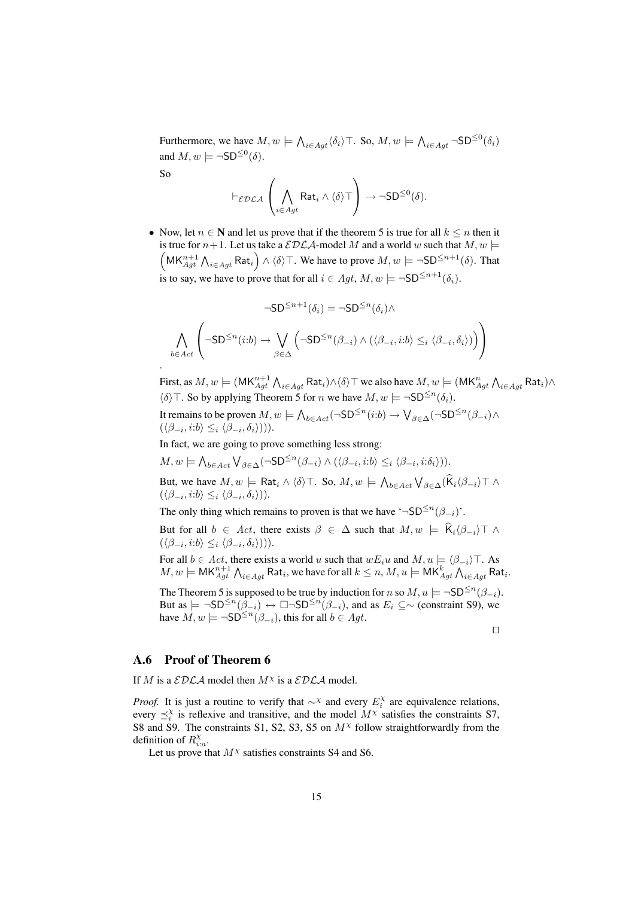Furthermore, we have  $M, w \models \bigwedge_{i \in Agt} \langle \delta_i \rangle$  T. So,  $M, w \models \bigwedge_{i \in Agt} \neg SD^{\leq 0}(\delta_i)$ and  $M, w \models \neg SD^{\leq 0}(\delta)$ .

So

.

$$
\vdash_{\mathcal{EDLA}} \left( \bigwedge_{i \in Agt} \mathsf{Rat}_i \wedge \langle \delta \rangle \top \right) \rightarrow \neg \mathsf{SD}^{\leq 0}(\delta).
$$

• Now, let  $n \in \mathbb{N}$  and let us prove that if the theorem 5 is true for all  $k \leq n$  then it is true for  $n+1$ . Let us take a  $\mathcal{EDLA}$ -model M and a world w such that  $M, w \models$  $\left(\mathsf{MK}_{Agt}^{n+1} \bigwedge_{i \in Agt} \mathsf{Rat}_i\right) \wedge \langle \delta \rangle$  T. We have to prove  $M, w \models \neg \mathsf{SD}^{\leq n+1}(\delta)$ . That is to say, we have to prove that for all  $i \in Agt$ ,  $M, w \models \neg SD^{\leq n+1}(\delta_i)$ .

$$
\neg SD^{\leq n+1}(\delta_i) = \neg SD^{\leq n}(\delta_i) \land \bigwedge_{b \in Act} \left(\neg SD^{\leq n}(i:b) \to \bigvee_{\beta \in \Delta} \left(\neg SD^{\leq n}(\beta_{-i}) \land (\langle \beta_{-i}, i:b \rangle \leq_i \langle \beta_{-i}, \delta_i \rangle)\right)\right)
$$

First, as  $M,w\models(\mathsf{MK}_{Agt}^{n+1}\bigwedge_{i\in Agt}\mathsf{Rat}_i)\wedge\langle\delta\rangle\top$  we also have  $M,w\models(\mathsf{MK}_{Agt}^n\bigwedge_{i\in Agt}\mathsf{Rat}_i)\wedge\langle\delta\rangle$  $\langle \delta \rangle$ T. So by applying Theorem 5 for *n* we have  $M, w \models \neg SD^{\leq n}(\delta_i)$ .

It remains to be proven  $M,w\models \bigwedge_{b\in Act}(\neg\mathsf{SD}^{\le n}(i:b)\to \bigvee_{\beta\in\Delta}(\neg\mathsf{SD}^{\le n}(\beta_{-i})\wedge$  $(\langle \beta_{-i}, i:b \rangle \leq_i \langle \beta_{-i}, \delta_i \rangle)).$ 

In fact, we are going to prove something less strong:

 $M, w \models \bigwedge_{b \in Act} \bigvee_{\beta \in \Delta} (\neg \mathsf{SD}^{\leq n}(\beta_{-i}) \wedge (\langle \beta_{-i}, i:b \rangle \leq_i \langle \beta_{-i}, i:\delta_i \rangle)).$ 

But, we have  $M, w \models \mathsf{Rat}_i \land \langle \delta \rangle \top$ . So,  $M, w \models \bigwedge_{b \in Act} \bigvee_{\beta \in \Delta} (\mathsf{K}_i \langle \beta_{-i} \rangle \top \land \langle \beta_{-i} \rangle \top)$  $(\langle \beta_{-i}, i:b \rangle \leq_i \langle \beta_{-i}, \delta_i \rangle)).$ 

The only thing which remains to proven is that we have '¬SD<sup> $\leq n(\beta_{-i})$ '.</sup>

But for all  $b \in Act$ , there exists  $\beta \in \Delta$  such that  $M, w \models \widehat{K}_i(\beta_{-i}) \top \wedge$  $(\langle \beta_{-i}, i:b \rangle \leq_i \langle \beta_{-i}, \delta_i \rangle)).$ 

For all  $b \in Act$ , there exists a world u such that  $wE_iu$  and  $M, u \models \langle \beta_{-i} \rangle$ . As  $M,w\models \mathsf{MK}^{n+1}_{Agt}\bigwedge_{i\in Agt}\mathsf{Rat}_i,$  we have for all  $k\leq n, M,u\models \mathsf{MK}^k_{Agt}\bigwedge_{i\in Agt}\mathsf{Rat}_i.$ 

The Theorem 5 is supposed to be true by induction for n so  $M, u \models \neg SD^{\leq n}(\beta_{-i}).$ But as  $\models \neg SD^{\leq n}(\overline{\beta}_{-i}) \leftrightarrow \Box \neg SD^{\leq n}(\beta_{-i})$ , and as  $E_i \subseteq \sim$  (constraint S9), we have  $M, w \models \neg SD^{\leq n}(\beta_{-i}),$  this for all  $b \in Agt$ .

 $\Box$ 

### A.6 Proof of Theorem 6

If M is a  $\mathcal{EDLA}$  model then  $M^{\chi}$  is a  $\mathcal{EDLA}$  model.

*Proof.* It is just a routine to verify that  $\sim^{\chi}$  and every  $E_i^{\chi}$  are equivalence relations, every  $\preceq_i^{\chi}$  is reflexive and transitive, and the model  $M^{\chi}$  satisfies the constraints S7, S8 and S9. The constraints S1, S2, S3, S5 on  $M<sup>X</sup>$  follow straightforwardly from the definition of  $R_{i:a}^{\chi}$ .

Let us prove that  $M^{\chi}$  satisfies constraints S4 and S6.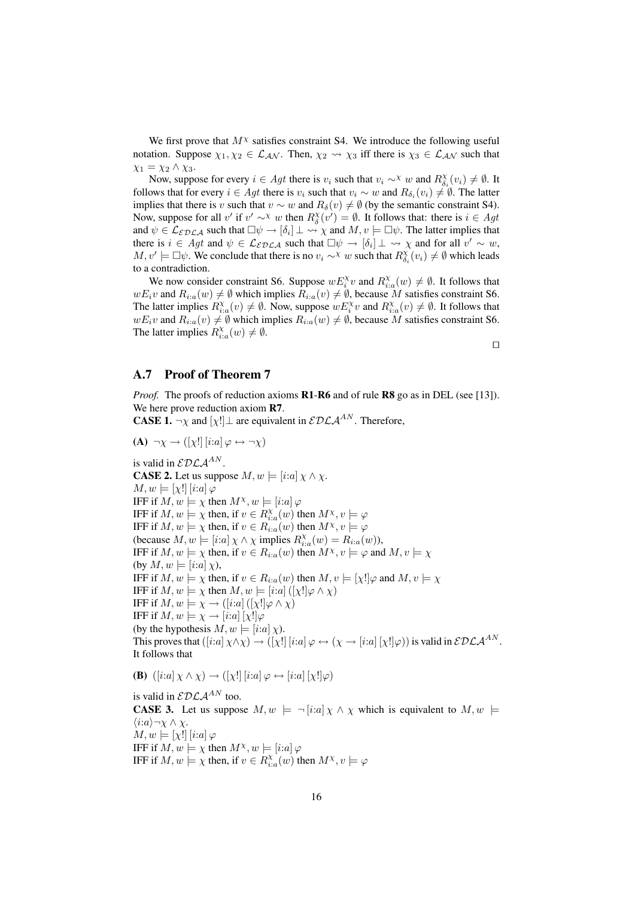We first prove that  $M^{\chi}$  satisfies constraint S4. We introduce the following useful notation. Suppose  $\chi_1, \chi_2 \in \mathcal{L}_{\mathcal{AN}}$ . Then,  $\chi_2 \rightsquigarrow \chi_3$  iff there is  $\chi_3 \in \mathcal{L}_{\mathcal{AN}}$  such that  $\chi_1 = \chi_2 \wedge \chi_3.$ 

Now, suppose for every  $i \in Agt$  there is  $v_i$  such that  $v_i \sim^\chi w$  and  $R_{\delta_i}^\chi(v_i) \neq \emptyset$ . It follows that for every  $i \in Agt$  there is  $v_i$  such that  $v_i \sim w$  and  $R_{\delta_i}(v_i) \neq \emptyset$ . The latter implies that there is v such that  $v \sim w$  and  $R_\delta(v) \neq \emptyset$  (by the semantic constraint S4). Now, suppose for all v' if  $v' \sim^{\chi} w$  then  $R_{\delta}^{\chi}(v') = \emptyset$ . It follows that: there is  $i \in Agt$ and  $\psi \in \mathcal{L}_{\mathcal{EDLA}}$  such that  $\Box \psi \to [\delta_i] \bot \leadsto \chi$  and  $M, v \models \Box \psi$ . The latter implies that there is  $i \in Agt$  and  $\psi \in \mathcal{L}_{\mathcal{EDLA}}$  such that  $\Box \psi \rightarrow [\delta_i] \bot \leadsto \chi$  and for all  $v' \sim w$ ,  $M, v' \models \Box \psi$ . We conclude that there is no  $v_i \sim^{\chi} w$  such that  $R_{\delta_i}^{\chi}(v_i) \neq \emptyset$  which leads to a contradiction.

We now consider constraint S6. Suppose  $w E_i^{\chi} v$  and  $R_{i:a}^{\chi}(w) \neq \emptyset$ . It follows that  $wE_i v$  and  $R_{i:a}(w) \neq \emptyset$  which implies  $R_{i:a}(v) \neq \emptyset$ , because M satisfies constraint S6. The latter implies  $R_{i:a}^{\chi}(v) \neq \emptyset$ . Now, suppose  $wE_i^{\chi}v$  and  $R_{i:a}^{\chi}(v) \neq \emptyset$ . It follows that  $wE_i v$  and  $R_{i:a}(v) \neq \emptyset$  which implies  $R_{i:a}(w) \neq \emptyset$ , because M satisfies constraint S6. The latter implies  $R_{i:a}^{\chi}(w) \neq \emptyset$ .

 $\Box$ 

### A.7 Proof of Theorem 7

*Proof.* The proofs of reduction axioms **R1-R6** and of rule **R8** go as in DEL (see [13]). We here prove reduction axiom R7.

**CASE 1.**  $\neg \chi$  and  $[\chi!] \perp$  are equivalent in  $\mathcal{EDLA}^{AN}$ . Therefore,

(A)  $\neg \chi \rightarrow ([\chi!] [i:a] \varphi \leftrightarrow \neg \chi)$ 

is valid in  $\mathcal{EDLA}^{AN}$ . **CASE 2.** Let us suppose  $M, w \models [i:a] \chi \wedge \chi$ .  $M, w \models [\chi!] [i:a] \varphi$ IFF if  $M, w \models \chi$  then  $M^{\chi}, w \models [i:a] \varphi$ IFF if  $M, w \models \chi$  then, if  $v \in R_{i,a}^{\chi}(w)$  then  $M^{\chi}, v \models \varphi$ IFF if  $M, w \models \chi$  then, if  $v \in R_{i,a}(w)$  then  $M^{\chi}, v \models \varphi$ (because  $M, w \models [i:a] \chi \wedge \chi$  implies  $R_{i:a}^{\chi}(w) = R_{i:a}(w)$ ), IFF if  $M, w \models \chi$  then, if  $v \in R_{i,a}(w)$  then  $M^\chi, v \models \varphi$  and  $M, v \models \chi$ (by  $M, w \models [i:a] \chi$ ), IFF if  $M, w \models \chi$  then, if  $v \in R_{i,a}(w)$  then  $M, v \models [\chi!] \varphi$  and  $M, v \models \chi$ IFF if  $M, w \models \chi$  then  $M, w \models [i:a] ([\chi!] \varphi \wedge \chi)$ IFF if  $M, w \models \chi \rightarrow ([i:a] ([\chi!] \varphi \wedge \chi)$ IFF if  $M, w \models \chi \rightarrow [i:a] [\chi!] \varphi$ (by the hypothesis  $M, w \models [i:a] \chi$ ). This proves that  $([i:a] \chi \wedge \chi) \rightarrow ([\chi!] [i:a] \varphi \leftrightarrow (\chi \rightarrow [i:a] [\chi!] \varphi))$  is valid in  $\mathcal{EDLA}^{AN}$ . It follows that

**(B)**  $([i:a] \chi \wedge \chi) \rightarrow ([\chi!] [i:a] \varphi \leftrightarrow [i:a] [\chi!] \varphi)$ 

is valid in  $\mathcal{EDLA}^{AN}$  too. **CASE 3.** Let us suppose  $M, w \models \neg [i:a] \chi \wedge \chi$  which is equivalent to  $M, w \models \neg [i:a] \chi \wedge \chi$  $\langle i:a\rangle$ ¬χ ∧ χ.  $M, w \models [\chi!] | [i:a] \varphi$ IFF if  $M, w \models \chi$  then  $M^{\chi}, w \models [i:a] \varphi$ IFF if  $M, w \models \chi$  then, if  $v \in R_{i,a}^{\chi}(w)$  then  $M^{\chi}, v \models \varphi$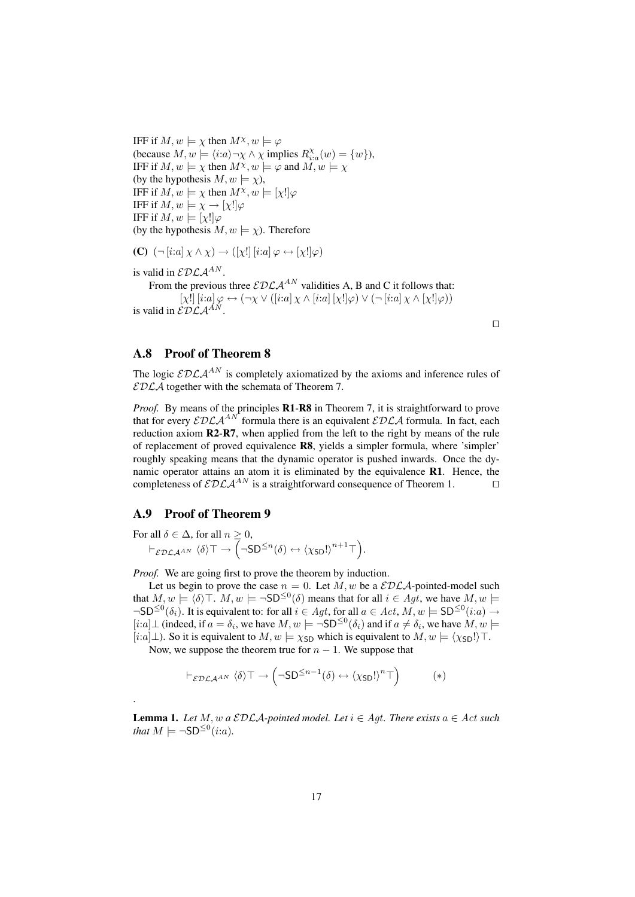IFF if  $M, w \models \chi$  then  $M^{\chi}, w \models \varphi$ (because  $M, w \models \langle i : a \rangle \neg \chi \wedge \chi$  implies  $R_{i:a}^{\chi}(w) = \{w\}$ ), IFF if  $M, w \models \chi$  then  $M^{\chi}, w \models \varphi$  and  $M, w \models \chi$ (by the hypothesis  $M, w \models \chi$ ), IFF if  $M, w \models \chi$  then  $M^{\chi}, w \models [\chi] | \varphi$ IFF if  $M, w \models \chi \rightarrow [\chi!] \varphi$ IFF if  $M, w \models [\chi!] \varphi$ (by the hypothesis  $M, w \models \chi$ ). Therefore

(C)  $(\neg [i:a] \chi \land \chi) \rightarrow ([\chi!] [i:a] \varphi \leftrightarrow [\chi!] \varphi)$ 

is valid in  $\mathcal{EDLA}^{AN}$ .

From the previous three  $\mathcal{EDLA}^{AN}$  validities A, B and C it follows that:  $[\chi!]$   $[i:a] \varphi \leftrightarrow (\neg \chi \vee ( [i:a] \chi \wedge [i:a] [\chi!] \varphi) \vee (\neg [i:a] \chi \wedge [\chi!] \varphi))$ is valid in  $\mathcal{EDLA}^{AN}$ .

#### A.8 Proof of Theorem 8

The logic  $\mathcal{EDLA}^{AN}$  is completely axiomatized by the axioms and inference rules of  $\mathcal{EDLA}$  together with the schemata of Theorem 7.

 $\Box$ 

*Proof.* By means of the principles **R1-R8** in Theorem 7, it is straightforward to prove that for every  $\mathcal{EDLA}^{AN}$  formula there is an equivalent  $\mathcal{EDLA}$  formula. In fact, each reduction axiom R2-R7, when applied from the left to the right by means of the rule of replacement of proved equivalence R8, yields a simpler formula, where 'simpler' roughly speaking means that the dynamic operator is pushed inwards. Once the dynamic operator attains an atom it is eliminated by the equivalence R1. Hence, the completeness of  $\mathcal{EDLA}^{AN}$  is a straightforward consequence of Theorem 1.

### A.9 Proof of Theorem 9

.

For all  $\delta \in \Delta$ , for all  $n \geq 0$ ,  $\vdash_{\mathcal{EDLA}^{AN}}\langle\delta\rangle\top\rightarrow\Bigl(\neg\mathsf{SD}^{\leq n}(\delta)\leftrightarrow\langle\chi_{\mathsf{SD}}!\rangle^{n+1}\top\Bigr).$ 

*Proof.* We are going first to prove the theorem by induction.

Let us begin to prove the case  $n = 0$ . Let M, w be a  $\mathcal{EDLA}$ -pointed-model such that  $M, w \models \langle \delta \rangle \top$ .  $M, w \models \neg SD^{\leq 0}(\delta)$  means that for all  $i \in Agt$ , we have  $M, w \models \Box$  $\neg SD^{\leq 0}(\delta_i)$ . It is equivalent to: for all  $i \in Agt$ , for all  $a \in Act$ ,  $M, w \models SD^{\leq 0}(i:a) \rightarrow$ [*i*:a]⊥ (indeed, if  $a = \delta_i$ , we have  $M, w \models \neg SD^{\leq 0}(\delta_i)$  and if  $a \neq \delta_i$ , we have  $M, w \models \neg SD^{\leq 0}(\delta_i)$ [i:a]⊥). So it is equivalent to  $M, w \models \chi_{SD}$  which is equivalent to  $M, w \models \langle \chi_{SD}! \rangle$ .

Now, we suppose the theorem true for  $n - 1$ . We suppose that

$$
\vdash_{\mathcal{EDLA}^{AN}} \langle \delta \rangle \top \to \left(\neg SD^{\leq n-1}(\delta) \leftrightarrow \langle \chi_{SD}! \rangle^n \top \right) \tag{*}
$$

**Lemma 1.** Let M, w a  $\mathcal{EDLA}$ -pointed model. Let  $i \in \mathit{Agt}$ . There exists  $a \in \mathit{Act}$  such *that*  $M \models \neg SD^{\leq 0}(i:a)$ *.*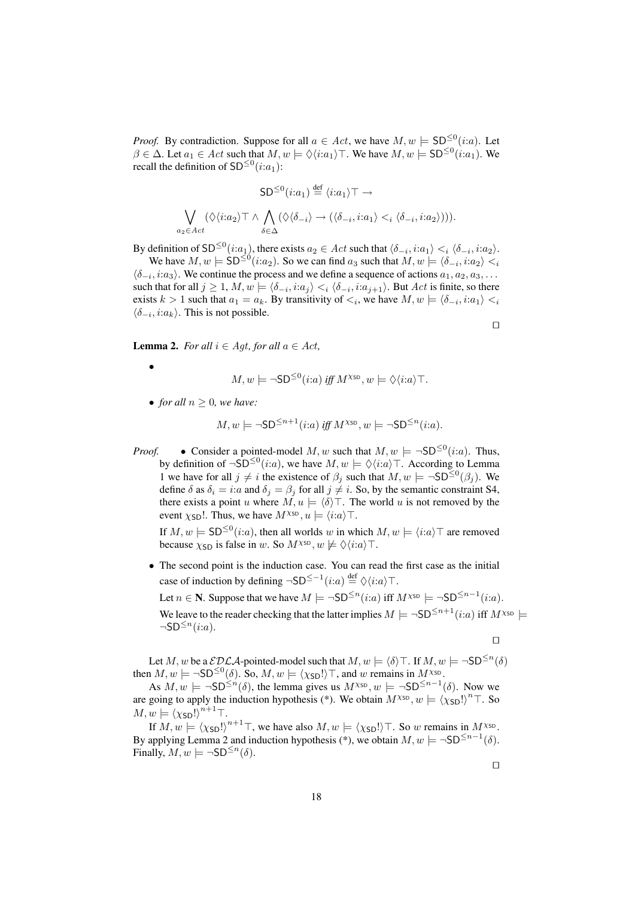*Proof.* By contradiction. Suppose for all  $a \in Act$ , we have  $M, w \models SD^{\leq 0}(i:a)$ . Let  $\beta \in \Delta$ . Let  $a_1 \in Act$  such that  $M, w \models \Diamond \langle i:a_1 \rangle \top$ . We have  $M, w \models SD^{\leq 0}(i:a_1)$ . We recall the definition of  $SD^{\leq 0}(i:a_1)$ :

$$
SD^{\leq 0}(i:a_1) \stackrel{\text{def}}{=} \langle i:a_1 \rangle \top \to
$$

$$
\bigvee_{a_2 \in Act} (\Diamond \langle i:a_2 \rangle \top \land \bigwedge_{\delta \in \Delta} (\Diamond \langle \delta_{-i} \rangle \to (\langle \delta_{-i}, i:a_1 \rangle \lt_i \langle \delta_{-i}, i:a_2 \rangle))).
$$

By definition of SD<sup>≤0</sup>(*i*:*a*<sub>1</sub>), there exists  $a_2 \in Act$  such that  $\langle \delta_{-i}, i:a_1 \rangle <_i \langle \delta_{-i}, i:a_2 \rangle$ .

We have  $M, w \models SD^{\leq 0}(i:a_2)$ . So we can find  $a_3$  such that  $M, w \models \langle \delta_{-i}, i:a_2 \rangle <_i$  $\langle \delta_{-i}, i:a_3 \rangle$ . We continue the process and we define a sequence of actions  $a_1, a_2, a_3, \ldots$ such that for all  $j \ge 1$ ,  $M, w \models \langle \delta_{-i}, i:a_j \rangle <_i \langle \delta_{-i}, i:a_{j+1} \rangle$ . But  $Act$  is finite, so there exists  $k > 1$  such that  $a_1 = a_k$ . By transitivity of  $\lt_i$ , we have  $M, w \models \langle \delta_{-i}, i : a_1 \rangle \lt_i$  $\langle \delta_{-i}, i: a_k \rangle$ . This is not possible.

 $\Box$ 

**Lemma 2.** *For all*  $i \in Aqt$ *, for all*  $a \in Act$ *,* 

$$
M, w \models \neg SD^{\leq 0}(i:a) \text{ iff } M^{\chi_{\text{SD}}}, w \models \Diamond \langle i:a \rangle \top.
$$

• *for all*  $n \geq 0$ *, we have:* 

•

$$
M, w \models \neg SD^{\leq n+1}(i:a) \text{ iff } M^{\chi_{\text{SD}}}, w \models \neg SD^{\leq n}(i:a).
$$

*Proof.* • Consider a pointed-model M, w such that  $M, w \models \neg SD^{\leq 0}(i:a)$ . Thus, by definition of  $\neg$ SD<sup>≤0</sup>(*i*:*a*), we have  $M, w \models \Diamond \langle i : a \rangle \top$ . According to Lemma 1 we have for all  $j \neq i$  the existence of  $\beta_j$  such that  $M, w \models \neg SD^{\leq 0}(\beta_j)$ . We define  $\delta$  as  $\delta_i = i:a$  and  $\delta_j = \beta_j$  for all  $j \neq i$ . So, by the semantic constraint S4, there exists a point u where  $M, u \models \langle \delta \rangle$ . The world u is not removed by the event  $\chi_{SD}!$ . Thus, we have  $M^{\chi_{SD}}$ ,  $u \models \langle i:a \rangle$ .

If  $M, w \models SD^{\leq 0}(i:a)$ , then all worlds w in which  $M, w \models \langle i:a \rangle \top$  are removed because  $\chi_{SD}$  is false in w. So  $M^{\chi_{SD}}$ ,  $w \not\models \Diamond \langle i:a \rangle \top$ .

• The second point is the induction case. You can read the first case as the initial case of induction by defining  $\neg SD^{\leq -1}(i:a) \stackrel{\text{def}}{=} \Diamond \langle i:a \rangle \top$ .

Let  $n \in \mathbb{N}$ . Suppose that we have  $M \models \neg SD^{\leq n}(i:a)$  iff  $M^{\chi_{SD}} \models \neg SD^{\leq n-1}(i:a)$ .

We leave to the reader checking that the latter implies  $M \models \neg SD^{\leq n+1}(i:a)$  iff  $M^{\chi_{SD}} \models$  $\neg$ SD<sup> $\leq n$ </sup> $(i:a)$ .

 $\Box$ 

Let M, w be a  $\mathcal{EDLA}$ -pointed-model such that  $M, w \models \langle \delta \rangle \top$ . If  $M, w \models \neg SD^{\leq n}(\delta)$ then  $M, w \models \neg SD^{\leq 0}(\delta)$ . So,  $M, w \models \langle \chi_{SD}! \rangle \top$ , and w remains in  $M^{\chi_{SD}}$ .

As  $M, w \models \neg SD^{\leq n}(\delta)$ , the lemma gives us  $M^{\chi_{SD}}$ ,  $w \models \neg SD^{\leq n-1}(\delta)$ . Now we are going to apply the induction hypothesis (\*). We obtain  $M^{\chi_{SD}}$ ,  $w \models (\chi_{SD}!)^n \top$ . So  $M, w \models (\chi_{\mathsf{SD}}!)^{n+1}\top.$ 

If  $M, w \models (\chi_{\text{SD}}!)^{n+1}\top$ , we have also  $M, w \models (\chi_{\text{SD}}!) \top$ . So w remains in  $M^{\chi_{\text{SD}}}$ . By applying Lemma 2 and induction hypothesis (\*), we obtain  $M, w \models \neg SD^{\leq n-1}(\delta)$ . Finally,  $M, w \models \neg SD^{\leq n}(\delta)$ .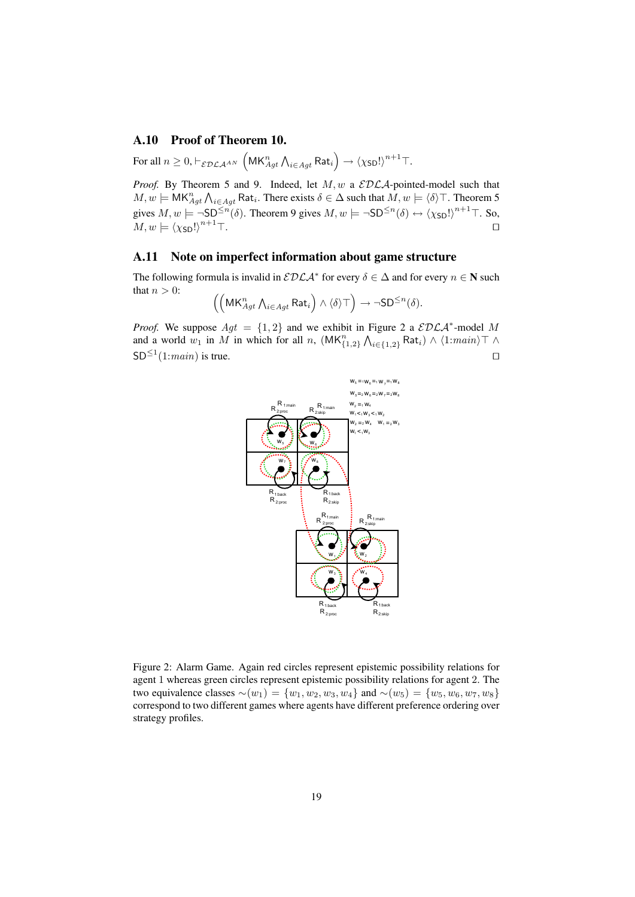### A.10 Proof of Theorem 10.

For all  $n\geq 0, \vdash_{\mathcal{EDLA}^{AN}}\left(\mathsf{MK}_{Agt}^{n} \bigwedge_{i\in Agt}\mathsf{Rat}_{i}\right)\rightarrow \left\langle \chi_{\mathsf{SD}}!\right\rangle ^{n+1}\top.$ 

*Proof.* By Theorem 5 and 9. Indeed, let  $M$ ,  $w$  a  $EDLA$ -pointed-model such that  $M, w \models \mathsf{MK}_{Agt}^n \bigwedge_{i \in Agt} \mathsf{Rat}_i$ . There exists  $\delta \in \Delta$  such that  $M, w \models \langle \delta \rangle \top$ . Theorem 5 gives  $M, w \models \neg SD^{\leq n}(\delta)$ . Theorem 9 gives  $M, w \models \neg SD^{\leq n}(\delta) \leftrightarrow (\chi_{SD}!)^{n+1} \top$ . So,  $M, w \models (\chi_{\text{SD}}!)^{n+1}\top.$ 

### A.11 Note on imperfect information about game structure

The following formula is invalid in  $\mathcal{EDLA}^*$  for every  $\delta \in \Delta$  and for every  $n \in \mathbb{N}$  such that  $n > 0$ :

$$
\left(\left(\mathsf{MK}^n_{Agt}\, \mathsf{\Lambda}_{i\in Agt}\, \mathsf{Rat}_i\right)\wedge\langle \delta\rangle\top\right)\rightarrow \neg\mathsf{SD}^{\leq n}(\delta).
$$

*Proof.* We suppose  $Agt = \{1, 2\}$  and we exhibit in Figure 2 a  $\mathcal{EDLA}^*$ -model M and a world  $w_1$  in M in which for all n,  $(MK_{\{1,2\}}^n \wedge_{i \in \{1,2\}} Rat_i) \wedge \langle 1:main \rangle \top \wedge$  $SD^{\leq 1}(1:main)$  is true.



Figure 2: Alarm Game. Again red circles represent epistemic possibility relations for agent 1 whereas green circles represent epistemic possibility relations for agent 2. The two equivalence classes  $∼(w_1) = \{w_1, w_2, w_3, w_4\}$  and  $∼(w_5) = \{w_5, w_6, w_7, w_8\}$ correspond to two different games where agents have different preference ordering over strategy profiles.